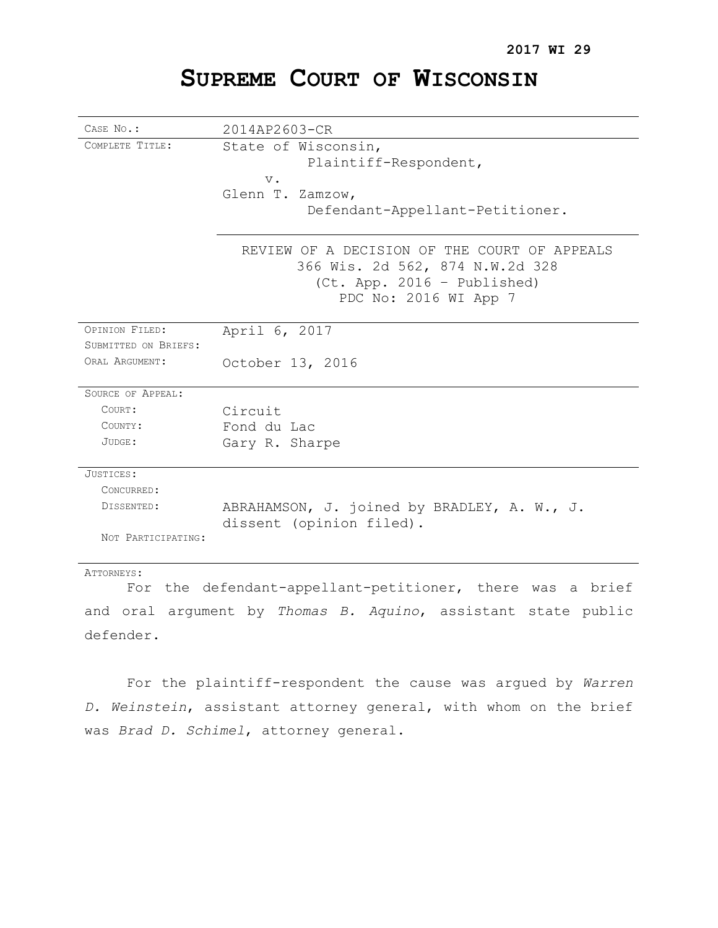# **SUPREME COURT OF WISCONSIN**

| CASE No.:                                                | 2014AP2603-CR                                                           |
|----------------------------------------------------------|-------------------------------------------------------------------------|
| COMPLETE TITLE:                                          | State of Wisconsin,                                                     |
|                                                          | Plaintiff-Respondent,                                                   |
|                                                          | $V$ .<br>Glenn T. Zamzow,                                               |
|                                                          | Defendant-Appellant-Petitioner.                                         |
|                                                          |                                                                         |
|                                                          | REVIEW OF A DECISION OF THE COURT OF APPEALS                            |
|                                                          | 366 Wis. 2d 562, 874 N.W.2d 328                                         |
|                                                          | $(Ct. App. 2016 - Published)$                                           |
|                                                          | PDC No: 2016 WI App 7                                                   |
| OPINION FILED:                                           | April 6, 2017                                                           |
| SUBMITTED ON BRIEFS:                                     |                                                                         |
| ORAL ARGUMENT:                                           | October 13, 2016                                                        |
| SOURCE OF APPEAL:                                        |                                                                         |
| COURT:                                                   | Circuit                                                                 |
| COUNTY:                                                  | Fond du Lac                                                             |
| JUDGE:                                                   | Gary R. Sharpe                                                          |
| JUSTICES:                                                |                                                                         |
| CONCURRED:                                               |                                                                         |
| DISSENTED:                                               | ABRAHAMSON, J. joined by BRADLEY, A. W., J.<br>dissent (opinion filed). |
| NOT PARTICIPATING:                                       |                                                                         |
| ATTORNEYS:                                               |                                                                         |
| For the defendant-annellant-netitioner there was a brief |                                                                         |

For the defendant-appellant-petitioner, there was a brief and oral argument by *Thomas B. Aquino*, assistant state public defender.

For the plaintiff-respondent the cause was argued by *Warren D. Weinstein*, assistant attorney general, with whom on the brief was *Brad D. Schimel*, attorney general.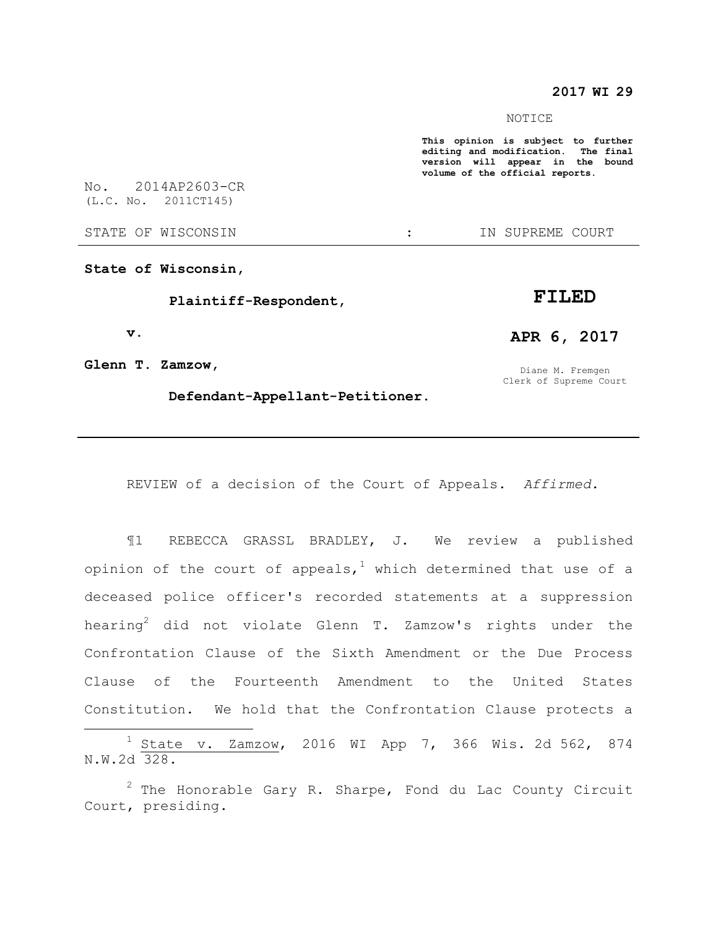## **2017 WI 29**

#### NOTICE

**This opinion is subject to further editing and modification. The final version will appear in the bound volume of the official reports.** 

No. 2014AP2603-CR (L.C. No. 2011CT145)

STATE OF WISCONSIN  $\qquad \qquad : \qquad \qquad$  IN SUPREME COURT

**State of Wisconsin,**

 **Plaintiff-Respondent,**

 **v.**

 $\overline{a}$ 

**Glenn T. Zamzow,**

 **Defendant-Appellant-Petitioner.**

Diane M. Fremgen

**APR 6, 2017**

**FILED**

Clerk of Supreme Court

REVIEW of a decision of the Court of Appeals. *Affirmed.*

¶1 REBECCA GRASSL BRADLEY, J. We review a published opinion of the court of appeals,<sup>1</sup> which determined that use of a deceased police officer's recorded statements at a suppression hearing<sup>2</sup> did not violate Glenn T. Zamzow's rights under the Confrontation Clause of the Sixth Amendment or the Due Process Clause of the Fourteenth Amendment to the United States Constitution. We hold that the Confrontation Clause protects a

 $1$  State v. Zamzow, 2016 WI App 7, 366 Wis. 2d 562, 874 N.W.2d 328.

 $2$  The Honorable Gary R. Sharpe, Fond du Lac County Circuit Court, presiding.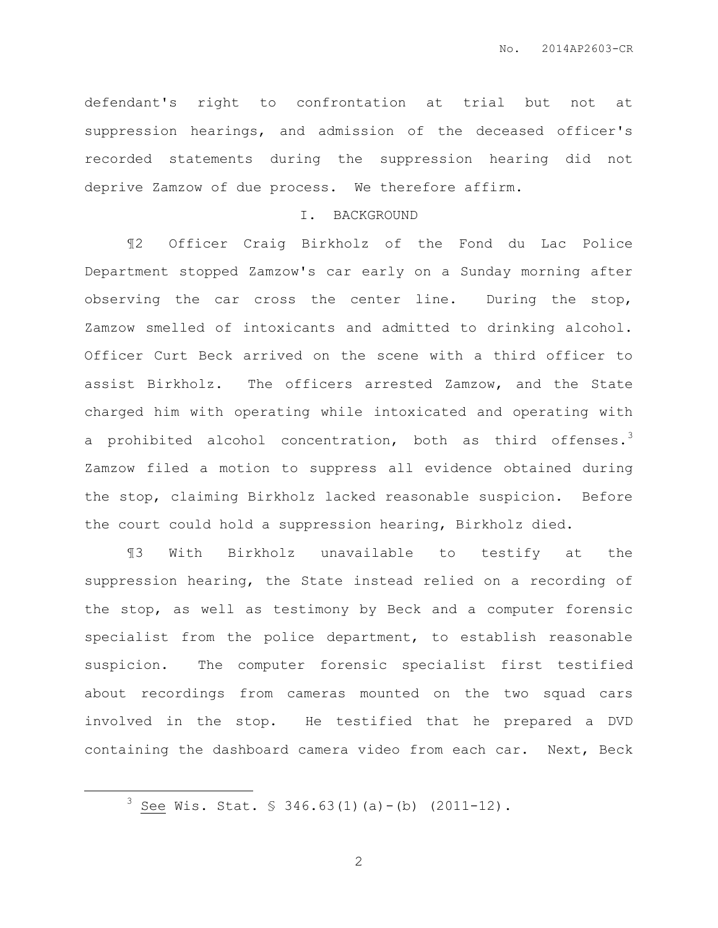defendant's right to confrontation at trial but not at suppression hearings, and admission of the deceased officer's recorded statements during the suppression hearing did not deprive Zamzow of due process. We therefore affirm.

#### I. BACKGROUND

¶2 Officer Craig Birkholz of the Fond du Lac Police Department stopped Zamzow's car early on a Sunday morning after observing the car cross the center line. During the stop, Zamzow smelled of intoxicants and admitted to drinking alcohol. Officer Curt Beck arrived on the scene with a third officer to assist Birkholz. The officers arrested Zamzow, and the State charged him with operating while intoxicated and operating with a prohibited alcohol concentration, both as third offenses.<sup>3</sup> Zamzow filed a motion to suppress all evidence obtained during the stop, claiming Birkholz lacked reasonable suspicion. Before the court could hold a suppression hearing, Birkholz died.

¶3 With Birkholz unavailable to testify at the suppression hearing, the State instead relied on a recording of the stop, as well as testimony by Beck and a computer forensic specialist from the police department, to establish reasonable suspicion. The computer forensic specialist first testified about recordings from cameras mounted on the two squad cars involved in the stop. He testified that he prepared a DVD containing the dashboard camera video from each car. Next, Beck

 $\overline{a}$ 

 $3$  See Wis. Stat. § 346.63(1)(a)-(b) (2011-12).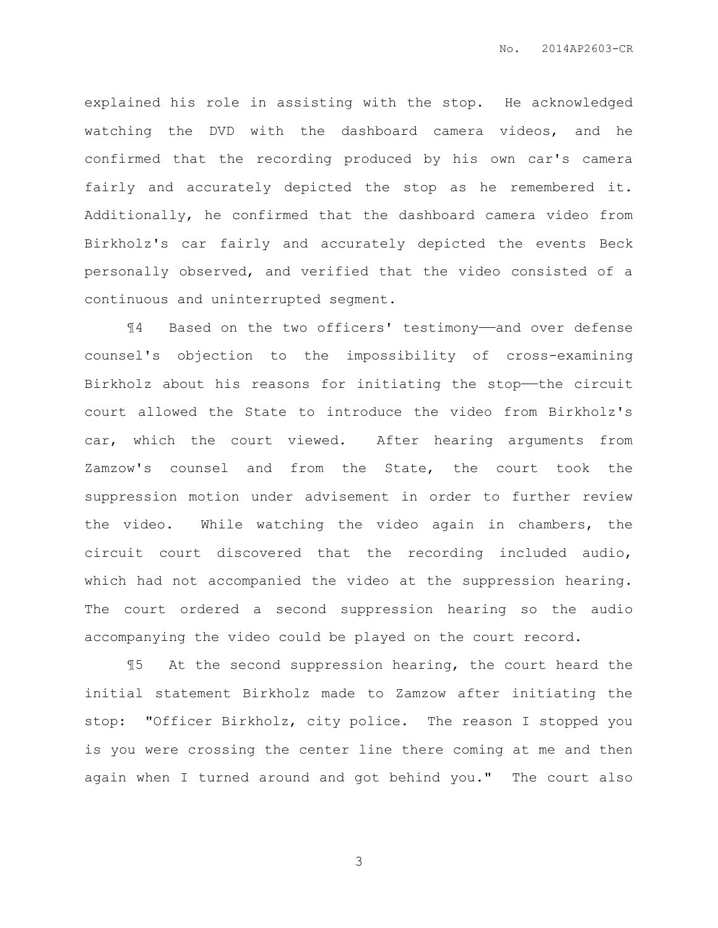explained his role in assisting with the stop. He acknowledged watching the DVD with the dashboard camera videos, and he confirmed that the recording produced by his own car's camera fairly and accurately depicted the stop as he remembered it. Additionally, he confirmed that the dashboard camera video from Birkholz's car fairly and accurately depicted the events Beck personally observed, and verified that the video consisted of a continuous and uninterrupted segment.

¶4 Based on the two officers' testimony——and over defense counsel's objection to the impossibility of cross-examining Birkholz about his reasons for initiating the stop—the circuit court allowed the State to introduce the video from Birkholz's car, which the court viewed. After hearing arguments from Zamzow's counsel and from the State, the court took the suppression motion under advisement in order to further review the video. While watching the video again in chambers, the circuit court discovered that the recording included audio, which had not accompanied the video at the suppression hearing. The court ordered a second suppression hearing so the audio accompanying the video could be played on the court record.

¶5 At the second suppression hearing, the court heard the initial statement Birkholz made to Zamzow after initiating the stop: "Officer Birkholz, city police. The reason I stopped you is you were crossing the center line there coming at me and then again when I turned around and got behind you." The court also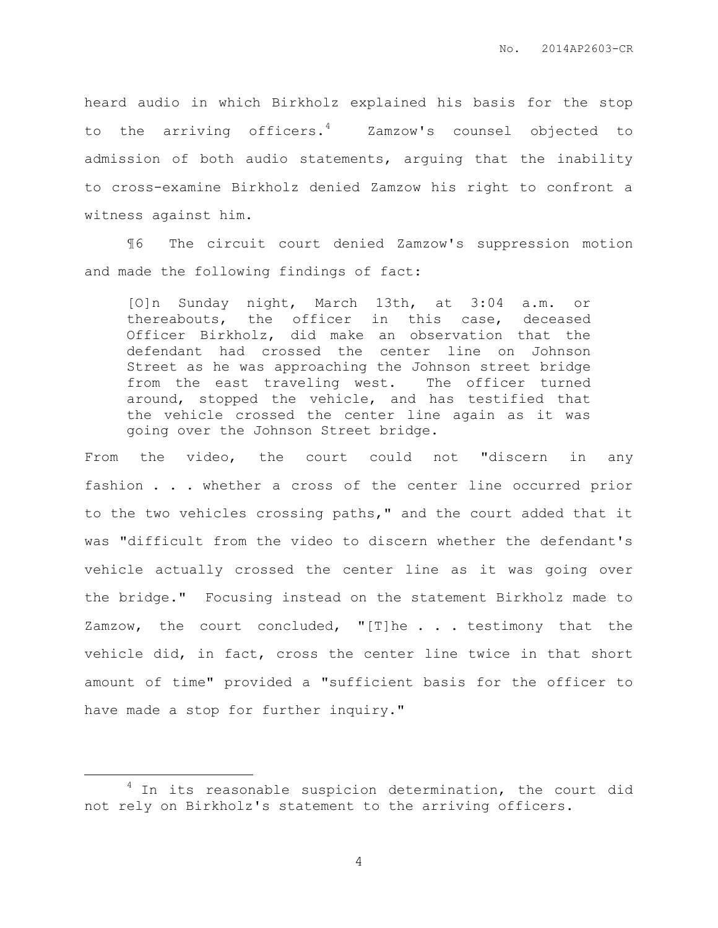heard audio in which Birkholz explained his basis for the stop to the arriving officers.<sup>4</sup> Zamzow's counsel objected to admission of both audio statements, arguing that the inability to cross-examine Birkholz denied Zamzow his right to confront a witness against him.

¶6 The circuit court denied Zamzow's suppression motion and made the following findings of fact:

[O]n Sunday night, March 13th, at 3:04 a.m. or thereabouts, the officer in this case, deceased Officer Birkholz, did make an observation that the defendant had crossed the center line on Johnson Street as he was approaching the Johnson street bridge from the east traveling west. The officer turned around, stopped the vehicle, and has testified that the vehicle crossed the center line again as it was going over the Johnson Street bridge.

From the video, the court could not "discern in any fashion . . . whether a cross of the center line occurred prior to the two vehicles crossing paths," and the court added that it was "difficult from the video to discern whether the defendant's vehicle actually crossed the center line as it was going over the bridge." Focusing instead on the statement Birkholz made to Zamzow, the court concluded, "[T]he . . . testimony that the vehicle did, in fact, cross the center line twice in that short amount of time" provided a "sufficient basis for the officer to have made a stop for further inquiry."

 $\overline{a}$ 

<sup>&</sup>lt;sup>4</sup> In its reasonable suspicion determination, the court did not rely on Birkholz's statement to the arriving officers.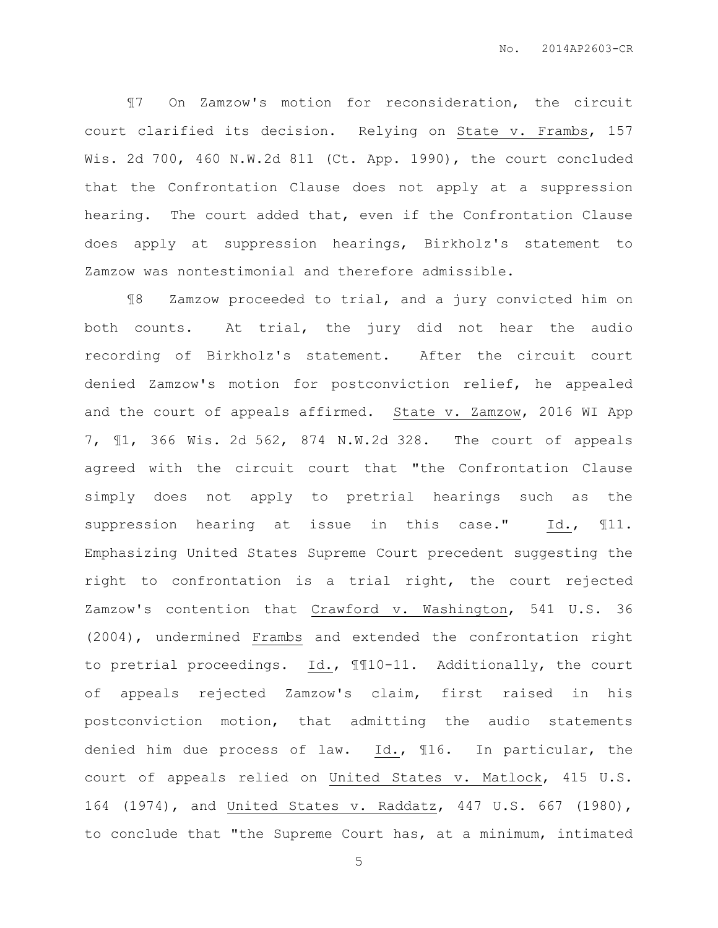¶7 On Zamzow's motion for reconsideration, the circuit court clarified its decision. Relying on State v. Frambs, 157 Wis. 2d 700, 460 N.W.2d 811 (Ct. App. 1990), the court concluded that the Confrontation Clause does not apply at a suppression hearing. The court added that, even if the Confrontation Clause does apply at suppression hearings, Birkholz's statement to Zamzow was nontestimonial and therefore admissible.

¶8 Zamzow proceeded to trial, and a jury convicted him on both counts. At trial, the jury did not hear the audio recording of Birkholz's statement. After the circuit court denied Zamzow's motion for postconviction relief, he appealed and the court of appeals affirmed. State v. Zamzow, 2016 WI App 7, ¶1, 366 Wis. 2d 562, 874 N.W.2d 328. The court of appeals agreed with the circuit court that "the Confrontation Clause simply does not apply to pretrial hearings such as the suppression hearing at issue in this case." Id.,  $\mathbb{I}11$ . Emphasizing United States Supreme Court precedent suggesting the right to confrontation is a trial right, the court rejected Zamzow's contention that Crawford v. Washington, 541 U.S. 36 (2004), undermined Frambs and extended the confrontation right to pretrial proceedings. Id., ¶¶10-11. Additionally, the court of appeals rejected Zamzow's claim, first raised in his postconviction motion, that admitting the audio statements denied him due process of law. Id., ¶16. In particular, the court of appeals relied on United States v. Matlock, 415 U.S. 164 (1974), and United States v. Raddatz, 447 U.S. 667 (1980), to conclude that "the Supreme Court has, at a minimum, intimated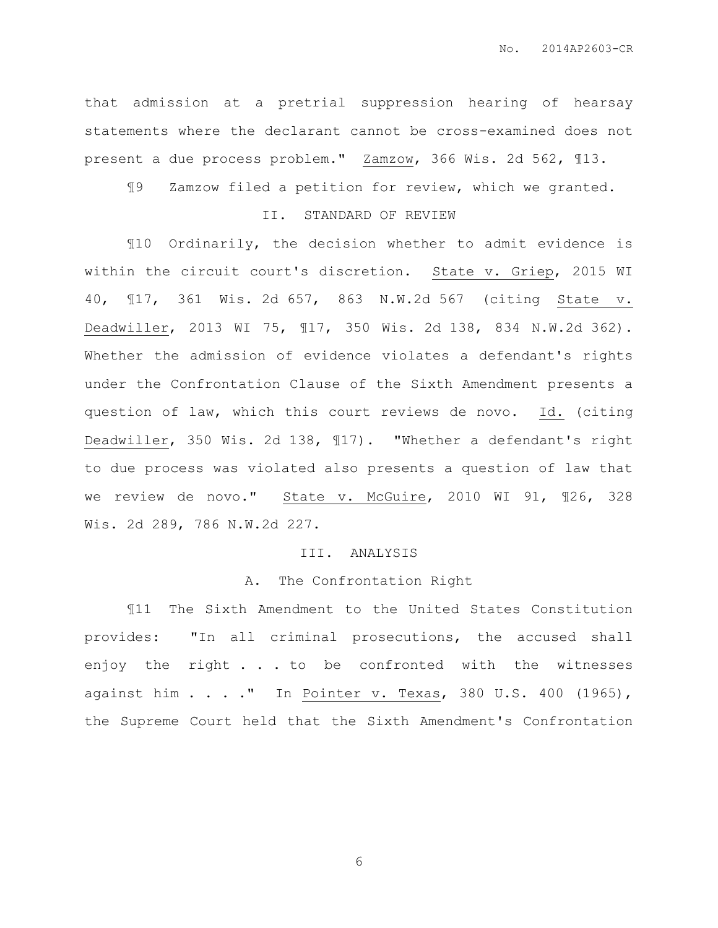that admission at a pretrial suppression hearing of hearsay statements where the declarant cannot be cross-examined does not present a due process problem." Zamzow, 366 Wis. 2d 562, 113.

¶9 Zamzow filed a petition for review, which we granted.

## II. STANDARD OF REVIEW

¶10 Ordinarily, the decision whether to admit evidence is within the circuit court's discretion. State v. Griep, 2015 WI 40, ¶17, 361 Wis. 2d 657, 863 N.W.2d 567 (citing State v. Deadwiller, 2013 WI 75, ¶17, 350 Wis. 2d 138, 834 N.W.2d 362). Whether the admission of evidence violates a defendant's rights under the Confrontation Clause of the Sixth Amendment presents a question of law, which this court reviews de novo. Id. (citing Deadwiller, 350 Wis. 2d 138, ¶17). "Whether a defendant's right to due process was violated also presents a question of law that we review de novo." State v. McGuire, 2010 WI 91, ¶26, 328 Wis. 2d 289, 786 N.W.2d 227.

## III. ANALYSIS

#### A. The Confrontation Right

¶11 The Sixth Amendment to the United States Constitution provides: "In all criminal prosecutions, the accused shall enjoy the right . . . to be confronted with the witnesses against him . . . ." In Pointer v. Texas, 380 U.S. 400 (1965), the Supreme Court held that the Sixth Amendment's Confrontation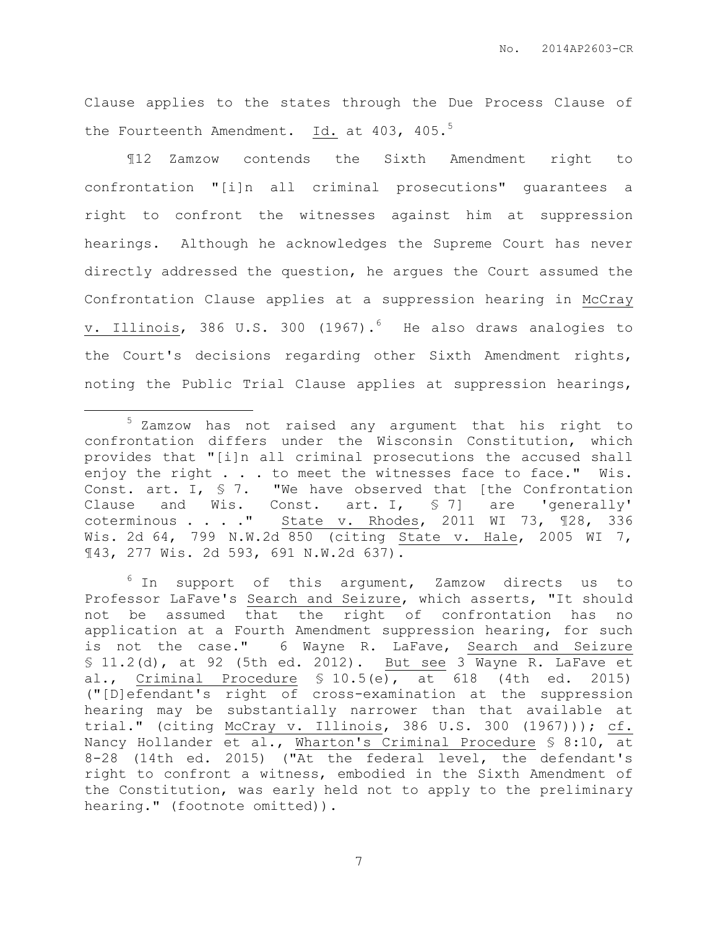Clause applies to the states through the Due Process Clause of the Fourteenth Amendment. Id. at 403, 405.<sup>5</sup>

¶12 Zamzow contends the Sixth Amendment right to confrontation "[i]n all criminal prosecutions" guarantees a right to confront the witnesses against him at suppression hearings. Although he acknowledges the Supreme Court has never directly addressed the question, he argues the Court assumed the Confrontation Clause applies at a suppression hearing in McCray v. Illinois, 386 U.S. 300 (1967).<sup>6</sup> He also draws analogies to the Court's decisions regarding other Sixth Amendment rights, noting the Public Trial Clause applies at suppression hearings,

 $\overline{a}$ 

<sup>5</sup> Zamzow has not raised any argument that his right to confrontation differs under the Wisconsin Constitution, which provides that "[i]n all criminal prosecutions the accused shall enjoy the right . . . to meet the witnesses face to face." Wis. Const. art. I, § 7. "We have observed that [the Confrontation Clause and Wis. Const. art. I, § 7] are 'generally' coterminous  $\ldots$  ." State v. Rhodes, 2011 WI 73, 128, 336 Wis. 2d 64, 799 N.W.2d 850 (citing State v. Hale, 2005 WI 7, ¶43, 277 Wis. 2d 593, 691 N.W.2d 637).

 $6$  In support of this argument, Zamzow directs us to Professor LaFave's Search and Seizure, which asserts, "It should not be assumed that the right of confrontation has no application at a Fourth Amendment suppression hearing, for such is not the case." 6 Wayne R. LaFave, Search and Seizure § 11.2(d), at 92 (5th ed. 2012). But see 3 Wayne R. LaFave et al., Criminal Procedure § 10.5(e), at 618 (4th ed. 2015) ("[D]efendant's right of cross-examination at the suppression hearing may be substantially narrower than that available at trial." (citing McCray v. Illinois, 386 U.S. 300 (1967))); cf. Nancy Hollander et al., Wharton's Criminal Procedure § 8:10, at 8-28 (14th ed. 2015) ("At the federal level, the defendant's right to confront a witness, embodied in the Sixth Amendment of the Constitution, was early held not to apply to the preliminary hearing." (footnote omitted)).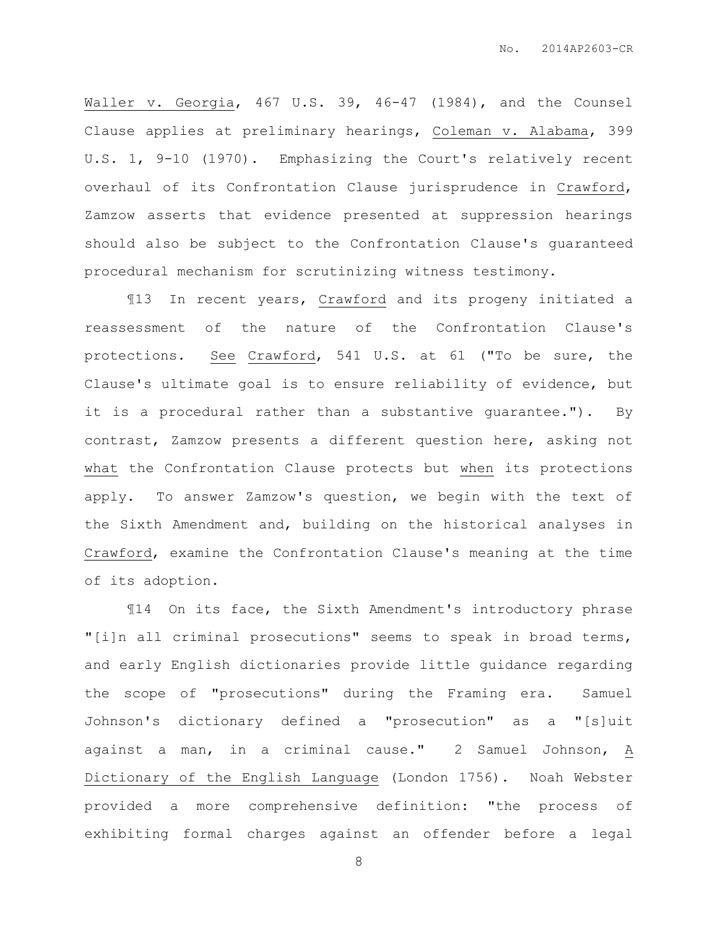Waller v. Georgia, 467 U.S. 39, 46-47 (1984), and the Counsel Clause applies at preliminary hearings, Coleman v. Alabama, 399 U.S. 1, 9-10 (1970). Emphasizing the Court's relatively recent overhaul of its Confrontation Clause jurisprudence in Crawford, Zamzow asserts that evidence presented at suppression hearings should also be subject to the Confrontation Clause's guaranteed procedural mechanism for scrutinizing witness testimony.

¶13 In recent years, Crawford and its progeny initiated a reassessment of the nature of the Confrontation Clause's protections. See Crawford, 541 U.S. at 61 ("To be sure, the Clause's ultimate goal is to ensure reliability of evidence, but it is a procedural rather than a substantive guarantee."). By contrast, Zamzow presents a different question here, asking not what the Confrontation Clause protects but when its protections apply. To answer Zamzow's question, we begin with the text of the Sixth Amendment and, building on the historical analyses in Crawford, examine the Confrontation Clause's meaning at the time of its adoption.

¶14 On its face, the Sixth Amendment's introductory phrase "[i]n all criminal prosecutions" seems to speak in broad terms, and early English dictionaries provide little guidance regarding the scope of "prosecutions" during the Framing era. Samuel Johnson's dictionary defined a "prosecution" as a "[s]uit against a man, in a criminal cause." 2 Samuel Johnson, A Dictionary of the English Language (London 1756). Noah Webster provided a more comprehensive definition: "the process of exhibiting formal charges against an offender before a legal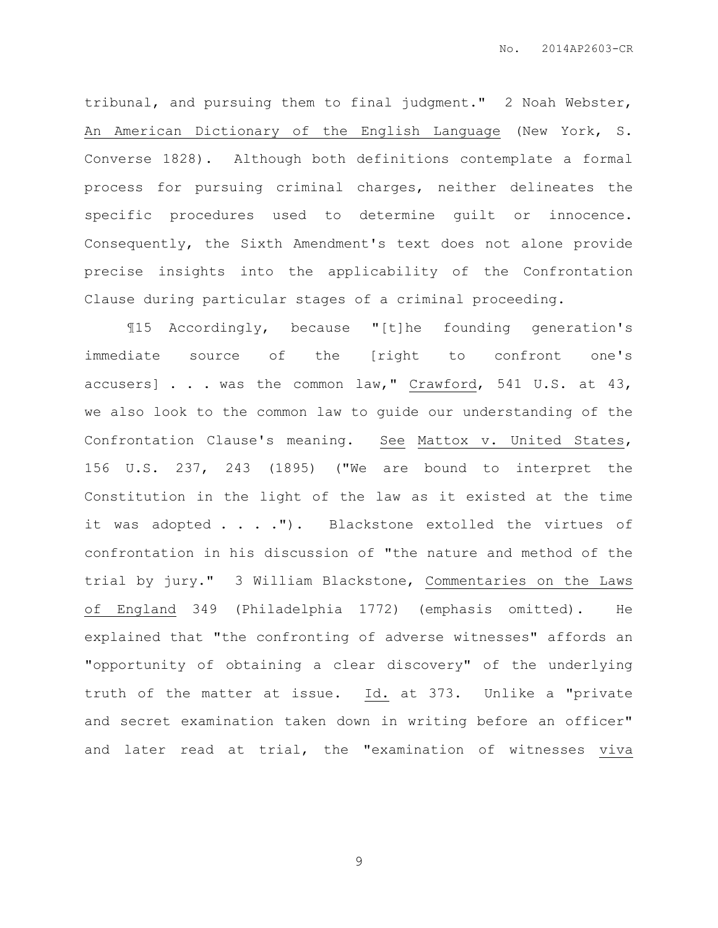tribunal, and pursuing them to final judgment." 2 Noah Webster, An American Dictionary of the English Language (New York, S. Converse 1828). Although both definitions contemplate a formal process for pursuing criminal charges, neither delineates the specific procedures used to determine guilt or innocence. Consequently, the Sixth Amendment's text does not alone provide precise insights into the applicability of the Confrontation Clause during particular stages of a criminal proceeding.

¶15 Accordingly, because "[t]he founding generation's immediate source of the [right to confront one's accusers] . . . was the common law," Crawford, 541 U.S. at 43, we also look to the common law to guide our understanding of the Confrontation Clause's meaning. See Mattox v. United States, 156 U.S. 237, 243 (1895) ("We are bound to interpret the Constitution in the light of the law as it existed at the time it was adopted . . . . "). Blackstone extolled the virtues of confrontation in his discussion of "the nature and method of the trial by jury." 3 William Blackstone, Commentaries on the Laws of England 349 (Philadelphia 1772) (emphasis omitted). He explained that "the confronting of adverse witnesses" affords an "opportunity of obtaining a clear discovery" of the underlying truth of the matter at issue. Id. at 373. Unlike a "private and secret examination taken down in writing before an officer" and later read at trial, the "examination of witnesses viva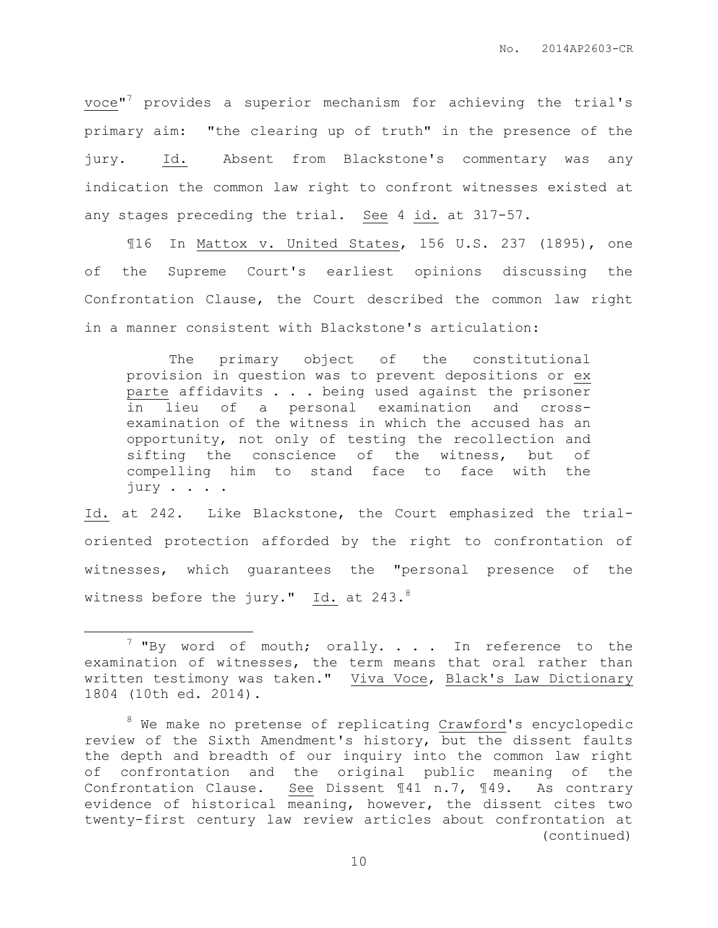voce" <sup>7</sup> provides a superior mechanism for achieving the trial's primary aim: "the clearing up of truth" in the presence of the jury. Id. Absent from Blackstone's commentary was any indication the common law right to confront witnesses existed at any stages preceding the trial. See 4 id. at 317-57.

¶16 In Mattox v. United States, 156 U.S. 237 (1895), one of the Supreme Court's earliest opinions discussing the Confrontation Clause, the Court described the common law right in a manner consistent with Blackstone's articulation:

The primary object of the constitutional provision in question was to prevent depositions or ex parte affidavits . . . being used against the prisoner in lieu of a personal examination and crossexamination of the witness in which the accused has an opportunity, not only of testing the recollection and sifting the conscience of the witness, but of compelling him to stand face to face with the jury . . . .

Id. at 242. Like Blackstone, the Court emphasized the trialoriented protection afforded by the right to confrontation of witnesses, which guarantees the "personal presence of the witness before the jury." Id. at  $243.^8$ 

 $\overline{a}$ 

 $7$  "By word of mouth; orally. . . . In reference to the examination of witnesses, the term means that oral rather than written testimony was taken." Viva Voce, Black's Law Dictionary 1804 (10th ed. 2014).

<sup>&</sup>lt;sup>8</sup> We make no pretense of replicating Crawford's encyclopedic review of the Sixth Amendment's history, but the dissent faults the depth and breadth of our inquiry into the common law right of confrontation and the original public meaning of the Confrontation Clause. See Dissent ¶41 n.7, ¶49. As contrary evidence of historical meaning, however, the dissent cites two twenty-first century law review articles about confrontation at (continued)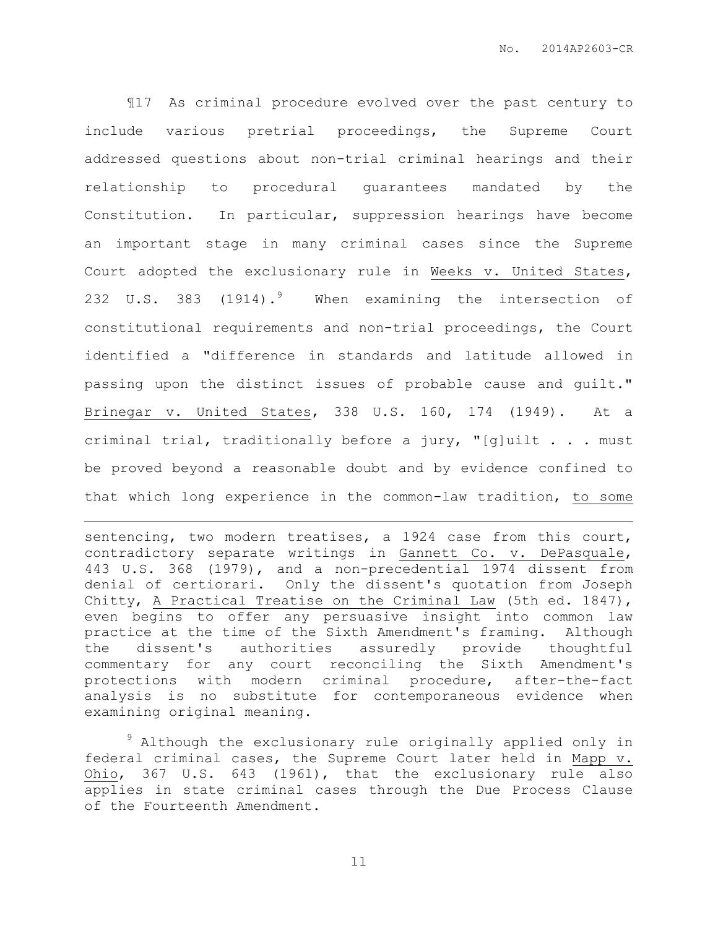¶17 As criminal procedure evolved over the past century to include various pretrial proceedings, the Supreme Court addressed questions about non-trial criminal hearings and their relationship to procedural guarantees mandated by the Constitution. In particular, suppression hearings have become an important stage in many criminal cases since the Supreme Court adopted the exclusionary rule in Weeks v. United States, 232 U.S. 383 (1914).<sup>9</sup> When examining the intersection of constitutional requirements and non-trial proceedings, the Court identified a "difference in standards and latitude allowed in passing upon the distinct issues of probable cause and guilt." Brinegar v. United States, 338 U.S. 160, 174 (1949). At a criminal trial, traditionally before a jury, "[g]uilt . . . must be proved beyond a reasonable doubt and by evidence confined to that which long experience in the common-law tradition, to some

sentencing, two modern treatises, a 1924 case from this court, contradictory separate writings in Gannett Co. v. DePasquale, 443 U.S. 368 (1979), and a non-precedential 1974 dissent from denial of certiorari. Only the dissent's quotation from Joseph Chitty, A Practical Treatise on the Criminal Law (5th ed. 1847), even begins to offer any persuasive insight into common law practice at the time of the Sixth Amendment's framing. Although the dissent's authorities assuredly provide thoughtful commentary for any court reconciling the Sixth Amendment's protections with modern criminal procedure, after-the-fact analysis is no substitute for contemporaneous evidence when examining original meaning.

 $\overline{a}$ 

<sup>9</sup> Although the exclusionary rule originally applied only in federal criminal cases, the Supreme Court later held in Mapp v. Ohio, 367 U.S. 643 (1961), that the exclusionary rule also applies in state criminal cases through the Due Process Clause of the Fourteenth Amendment.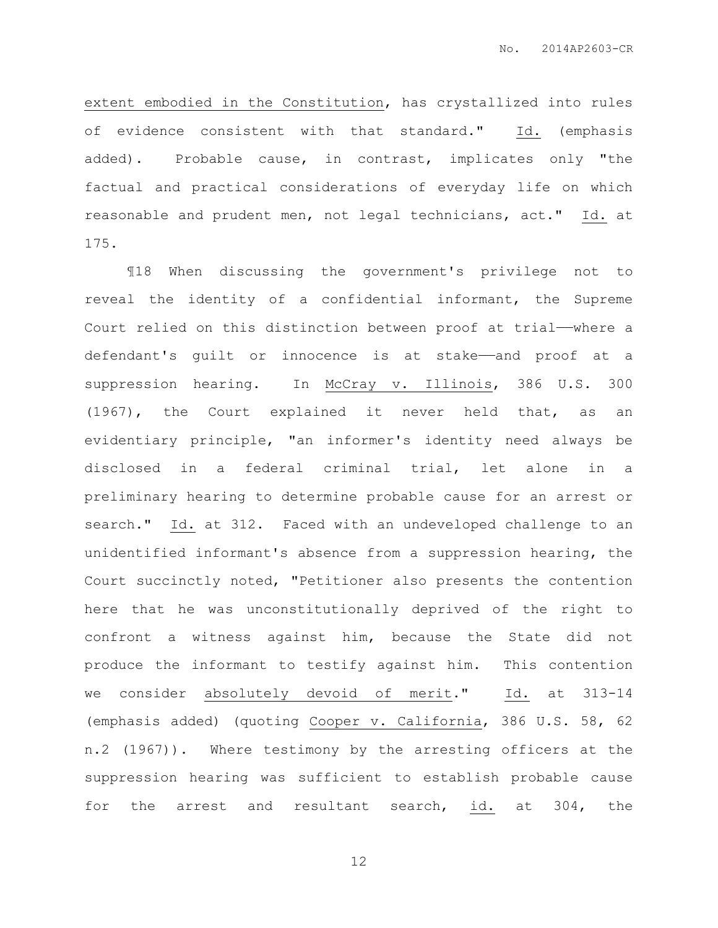extent embodied in the Constitution, has crystallized into rules of evidence consistent with that standard." Id. (emphasis added). Probable cause, in contrast, implicates only "the factual and practical considerations of everyday life on which reasonable and prudent men, not legal technicians, act." Id. at 175.

¶18 When discussing the government's privilege not to reveal the identity of a confidential informant, the Supreme Court relied on this distinction between proof at trial——where a defendant's guilt or innocence is at stake——and proof at a suppression hearing. In McCray v. Illinois, 386 U.S. 300 (1967), the Court explained it never held that, as an evidentiary principle, "an informer's identity need always be disclosed in a federal criminal trial, let alone in a preliminary hearing to determine probable cause for an arrest or search." Id. at 312. Faced with an undeveloped challenge to an unidentified informant's absence from a suppression hearing, the Court succinctly noted, "Petitioner also presents the contention here that he was unconstitutionally deprived of the right to confront a witness against him, because the State did not produce the informant to testify against him. This contention we consider absolutely devoid of merit." Id. at 313-14 (emphasis added) (quoting Cooper v. California, 386 U.S. 58, 62 n.2 (1967)). Where testimony by the arresting officers at the suppression hearing was sufficient to establish probable cause for the arrest and resultant search, id. at 304, the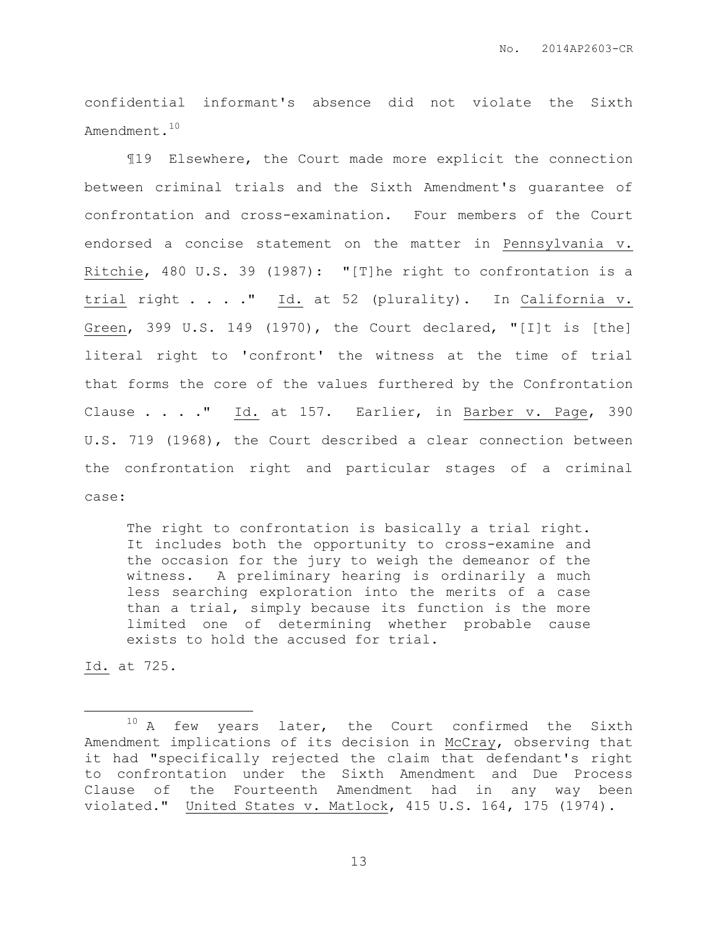confidential informant's absence did not violate the Sixth Amendment.<sup>10</sup>

¶19 Elsewhere, the Court made more explicit the connection between criminal trials and the Sixth Amendment's guarantee of confrontation and cross-examination. Four members of the Court endorsed a concise statement on the matter in Pennsylvania v. Ritchie, 480 U.S. 39 (1987): "[T]he right to confrontation is a trial right . . . ." Id. at 52 (plurality). In California v. Green, 399 U.S. 149 (1970), the Court declared, "[I]t is [the] literal right to 'confront' the witness at the time of trial that forms the core of the values furthered by the Confrontation Clause . . . ." Id. at 157. Earlier, in Barber v. Page, 390 U.S. 719 (1968), the Court described a clear connection between the confrontation right and particular stages of a criminal case:

The right to confrontation is basically a trial right. It includes both the opportunity to cross-examine and the occasion for the jury to weigh the demeanor of the witness. A preliminary hearing is ordinarily a much less searching exploration into the merits of a case than a trial, simply because its function is the more limited one of determining whether probable cause exists to hold the accused for trial.

Id. at 725.

 $\overline{a}$ 

 $10$  A few years later, the Court confirmed the Sixth Amendment implications of its decision in McCray, observing that it had "specifically rejected the claim that defendant's right to confrontation under the Sixth Amendment and Due Process Clause of the Fourteenth Amendment had in any way been violated." United States v. Matlock, 415 U.S. 164, 175 (1974).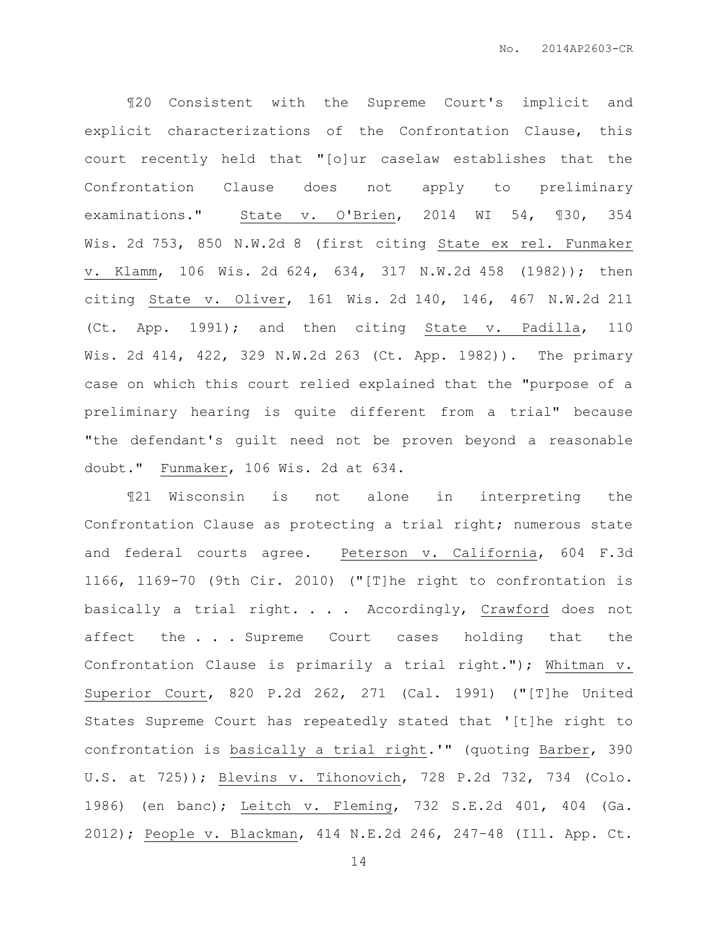¶20 Consistent with the Supreme Court's implicit and explicit characterizations of the Confrontation Clause, this court recently held that "[o]ur caselaw establishes that the Confrontation Clause does not apply to preliminary examinations." State v. O'Brien, 2014 WI 54, ¶30, 354 Wis. 2d 753, 850 N.W.2d 8 (first citing State ex rel. Funmaker v. Klamm, 106 Wis. 2d 624, 634, 317 N.W.2d 458 (1982)); then citing State v. Oliver, 161 Wis. 2d 140, 146, 467 N.W.2d 211 (Ct. App. 1991); and then citing State v. Padilla, 110 Wis. 2d 414, 422, 329 N.W.2d 263 (Ct. App. 1982)). The primary case on which this court relied explained that the "purpose of a preliminary hearing is quite different from a trial" because "the defendant's guilt need not be proven beyond a reasonable doubt." Funmaker, 106 Wis. 2d at 634.

¶21 Wisconsin is not alone in interpreting the Confrontation Clause as protecting a trial right; numerous state and federal courts agree. Peterson v. California, 604 F.3d 1166, 1169-70 (9th Cir. 2010) ("[T]he right to confrontation is basically a trial right. . . . Accordingly, Crawford does not affect the . . . Supreme Court cases holding that the Confrontation Clause is primarily a trial right."); Whitman v. Superior Court, [820 P.2d 262, 271](https://casetext.com/case/whitman-v-superior-court#p270) (Cal. 1991) ("[T]he United States Supreme Court has repeatedly stated that '[t]he right to confrontation is basically a trial right.'" (quoting Barber, 390 U.S. at 725)); Blevins v. Tihonovich, [728 P.2d 732, 734](https://casetext.com/case/blevins-v-tihonovich#p734) (Colo. 1986) (en banc); Leitch v. Fleming, [732 S.E.2d 401, 404](https://casetext.com/case/leitch-v-fleming#p404) (Ga. 2012); People v. Blackman, [414 N.E.2d 246, 247](https://casetext.com/case/people-v-blackman-42#p247)–48 (Ill. App. Ct.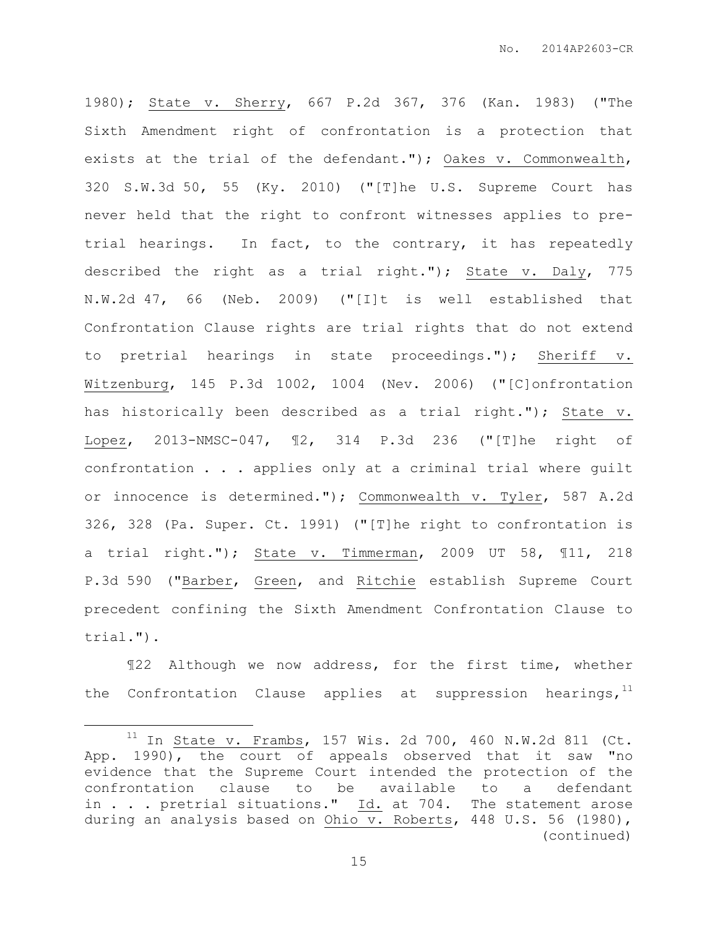1980); State v. Sherry, [667 P.2d 367, 376](https://casetext.com/case/state-v-sherry-9#p376) (Kan. 1983) ("The Sixth Amendment right of confrontation is a protection that exists at the trial of the defendant."); Oakes v. Commonwealth, 320 S.W.3d 50, 55 (Ky. 2010) ("[T]he U.S. Supreme Court has never held that the right to confront witnesses applies to pretrial hearings. In fact, to the contrary, it has repeatedly described the right as a trial right."); State v. Daly, 775 N.W.2d 47, 66 (Neb. 2009) ("[I]t is well established that Confrontation Clause rights are trial rights that do not extend to pretrial hearings in state proceedings."); Sheriff v. Witzenburg, [145 P.3d 1002, 1004](https://casetext.com/case/clark-county-v-witzenburg#p1005) (Nev. 2006) ("[C]onfrontation has historically been described as a trial right."); State v. Lopez, 2013-NMSC-047, ¶2, 314 P.3d 236 ("[T]he right of confrontation . . . applies only at a criminal trial where guilt or innocence is determined."); Commonwealth v. Tyler, [587 A.2d](https://casetext.com/case/com-v-tyler-19#p328)  [326, 328](https://casetext.com/case/com-v-tyler-19#p328) (Pa. Super. Ct. 1991) ("[T]he right to confrontation is a trial right."); State v. Timmerman, 2009 UT 58, ¶11, 218 P.3d 590 ("Barber, Green, and Ritchie establish Supreme Court precedent confining the Sixth Amendment Confrontation Clause to trial.").

¶22 Although we now address, for the first time, whether the Confrontation Clause applies at suppression hearings,  $11$ 

 $\overline{a}$ 

 $11$  In State v. Frambs, 157 Wis. 2d 700, 460 N.W.2d 811 (Ct. App. 1990), the court of appeals observed that it saw "no evidence that the Supreme Court intended the protection of the confrontation clause to be available to a defendant in . . . pretrial situations." Id. at 704. The statement arose during an analysis based on Ohio v. Roberts, 448 U.S. 56 (1980), (continued)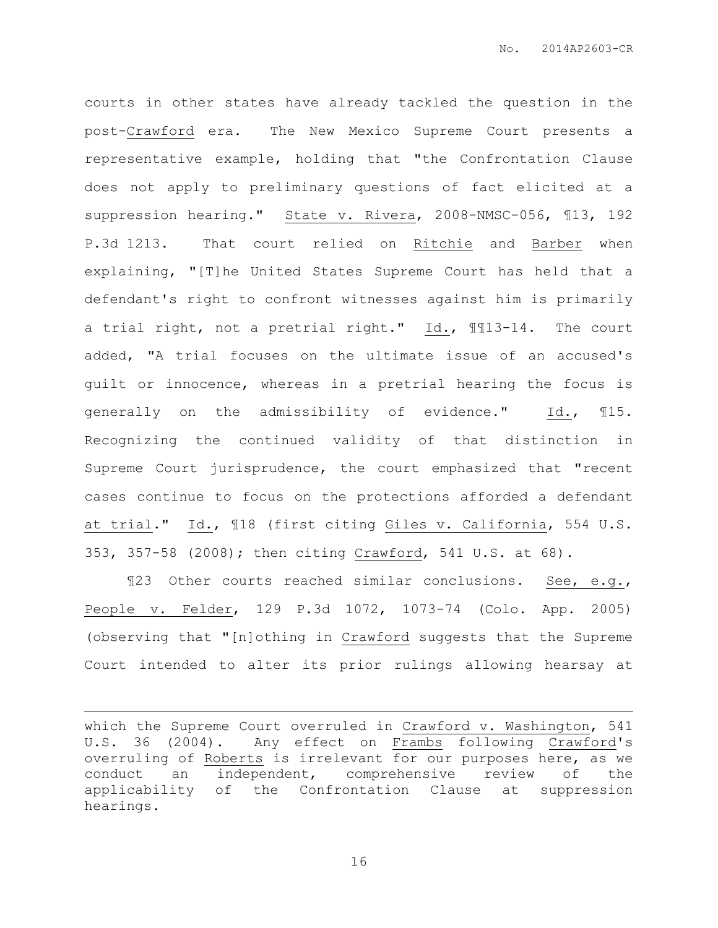courts in other states have already tackled the question in the post-Crawford era. The New Mexico Supreme Court presents a representative example, holding that "the Confrontation Clause does not apply to preliminary questions of fact elicited at a suppression hearing." State v. Rivera, 2008-NMSC-056, ¶13, 192 P.3d 1213. That court relied on Ritchie and Barber when explaining, "[T]he United States Supreme Court has held that a defendant's right to confront witnesses against him is primarily a trial right, not a pretrial right." Id., ¶¶13-14. The court added, "A trial focuses on the ultimate issue of an accused's guilt or innocence, whereas in a pretrial hearing the focus is generally on the admissibility of evidence." Id., ¶15. Recognizing the continued validity of that distinction in Supreme Court jurisprudence, the court emphasized that "recent cases continue to focus on the protections afforded a defendant at trial." Id., ¶18 (first citing Giles v. California, 554 U.S. 353, 357-58 (2008); then citing Crawford, 541 U.S. at 68).

¶23 Other courts reached similar conclusions. See, e.g., People v. Felder, 129 P.3d 1072, 1073-74 (Colo. App. 2005) (observing that "[n]othing in Crawford suggests that the Supreme Court intended to alter its prior rulings allowing hearsay at

which the Supreme Court overruled in Crawford v. Washington, 541 U.S. 36 (2004). Any effect on Frambs following Crawford's overruling of Roberts is irrelevant for our purposes here, as we conduct an independent, comprehensive review of the applicability of the Confrontation Clause at suppression hearings.

 $\overline{a}$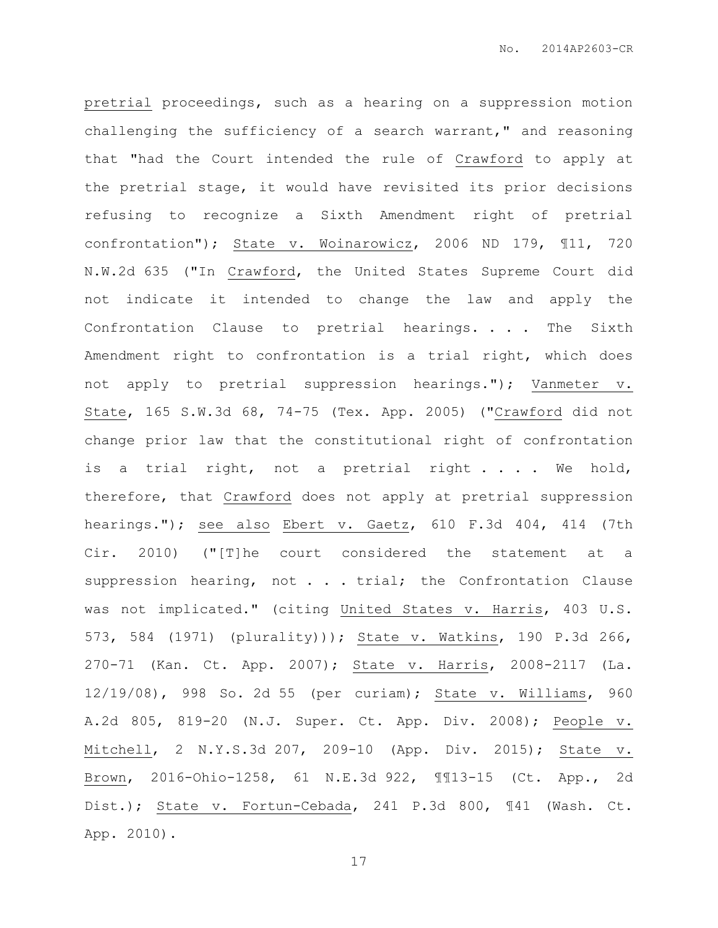pretrial proceedings, such as a hearing on a suppression motion challenging the sufficiency of a search warrant," and reasoning that "had the Court intended the rule of Crawford to apply at the pretrial stage, it would have revisited its prior decisions refusing to recognize a Sixth Amendment right of pretrial confrontation"); State v. Woinarowicz, 2006 ND 179, ¶11, 720 N.W.2d 635 ("In Crawford, the United States Supreme Court did not indicate it intended to change the law and apply the Confrontation Clause to pretrial hearings. . . . The Sixth Amendment right to confrontation is a trial right, which does not apply to pretrial suppression hearings."); Vanmeter v. State, 165 S.W.3d 68, 74-75 (Tex. App. 2005) ("Crawford did not change prior law that the constitutional right of confrontation is a trial right, not a pretrial right . . . We hold, therefore, that Crawford does not apply at pretrial suppression hearings."); see also Ebert v. Gaetz, 610 F.3d 404, 414 (7th Cir. 2010) ("[T]he court considered the statement at a suppression hearing, not . . . trial; the Confrontation Clause was not implicated." (citing United States v. Harris, 403 U.S. 573, 584 (1971) (plurality))); State v. Watkins, 190 P.3d 266, 270-71 (Kan. Ct. App. 2007); State v. Harris, 2008-2117 (La. 12/19/08), 998 So. 2d 55 (per curiam); State v. Williams, 960 A.2d 805, 819-20 (N.J. Super. Ct. App. Div. 2008); People v. Mitchell, 2 N.Y.S.3d 207, 209-10 (App. Div. 2015); State v. Brown, 2016-Ohio-1258, 61 N.E.3d 922, ¶¶13-15 (Ct. App., 2d Dist.); State v. Fortun-Cebada, 241 P.3d 800, ¶41 (Wash. Ct. App. 2010).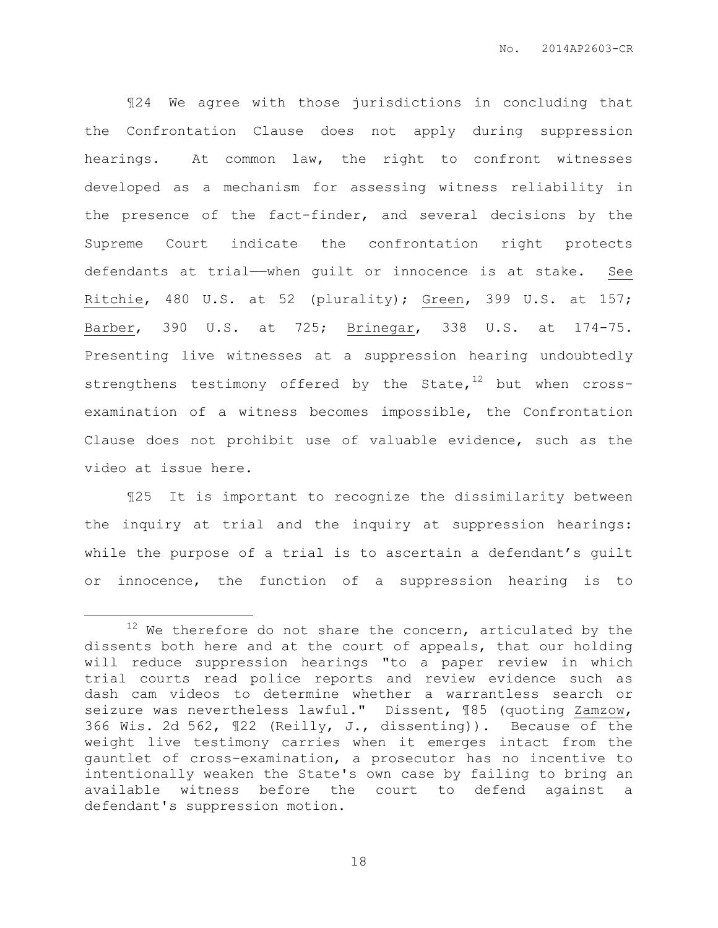¶24 We agree with those jurisdictions in concluding that the Confrontation Clause does not apply during suppression hearings. At common law, the right to confront witnesses developed as a mechanism for assessing witness reliability in the presence of the fact-finder, and several decisions by the Supreme Court indicate the confrontation right protects defendants at trial—when guilt or innocence is at stake. See Ritchie, 480 U.S. at 52 (plurality); Green, 399 U.S. at 157; Barber, 390 U.S. at 725; Brinegar, 338 U.S. at 174-75. Presenting live witnesses at a suppression hearing undoubtedly strengthens testimony offered by the State, $12$  but when crossexamination of a witness becomes impossible, the Confrontation Clause does not prohibit use of valuable evidence, such as the video at issue here.

¶25 It is important to recognize the dissimilarity between the inquiry at trial and the inquiry at suppression hearings: while the purpose of a trial is to ascertain a defendant's guilt or innocence, the function of a suppression hearing is to

 $\overline{a}$ 

 $12$  We therefore do not share the concern, articulated by the dissents both here and at the court of appeals, that our holding will reduce suppression hearings "to a paper review in which trial courts read police reports and review evidence such as dash cam videos to determine whether a warrantless search or seizure was nevertheless lawful." Dissent, 185 (quoting Zamzow, 366 Wis. 2d 562, ¶22 (Reilly, J., dissenting)). Because of the weight live testimony carries when it emerges intact from the gauntlet of cross-examination, a prosecutor has no incentive to intentionally weaken the State's own case by failing to bring an available witness before the court to defend against a defendant's suppression motion.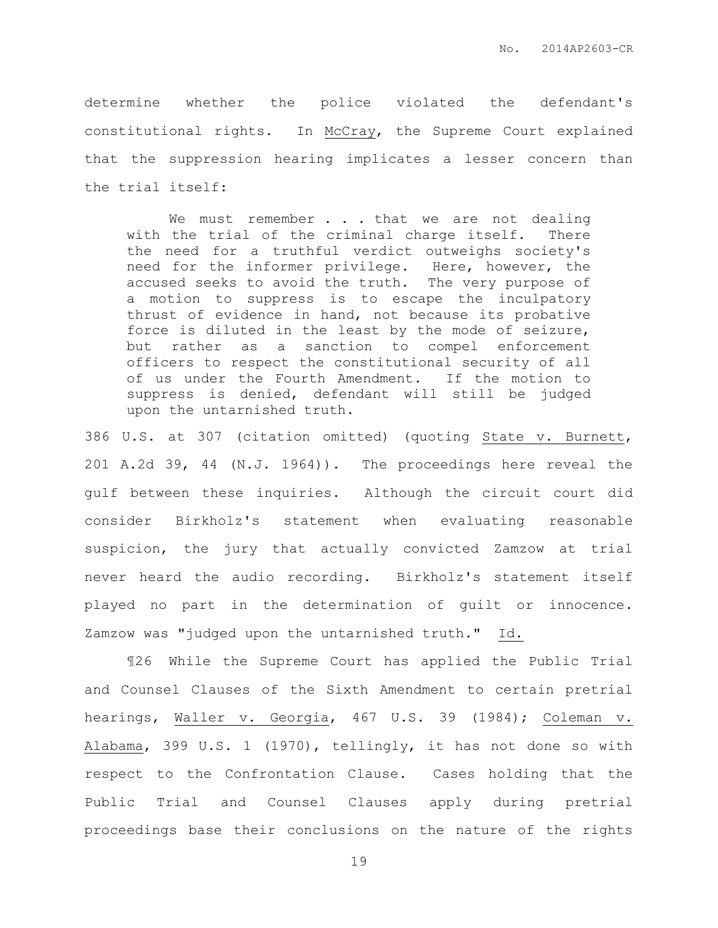determine whether the police violated the defendant's constitutional rights. In McCray, the Supreme Court explained that the suppression hearing implicates a lesser concern than the trial itself:

We must remember . . . that we are not dealing with the trial of the criminal charge itself. There the need for a truthful verdict outweighs society's need for the informer privilege. Here, however, the accused seeks to avoid the truth. The very purpose of a motion to suppress is to escape the inculpatory thrust of evidence in hand, not because its probative force is diluted in the least by the mode of seizure, but rather as a sanction to compel enforcement officers to respect the constitutional security of all of us under the Fourth Amendment. If the motion to suppress is denied, defendant will still be judged upon the untarnished truth.

386 U.S. at 307 (citation omitted) (quoting State v. Burnett, 201 A.2d 39, 44 (N.J. 1964)). The proceedings here reveal the gulf between these inquiries. Although the circuit court did consider Birkholz's statement when evaluating reasonable suspicion, the jury that actually convicted Zamzow at trial never heard the audio recording. Birkholz's statement itself played no part in the determination of guilt or innocence. Zamzow was "judged upon the untarnished truth." Id.

¶26 While the Supreme Court has applied the Public Trial and Counsel Clauses of the Sixth Amendment to certain pretrial hearings, Waller v. Georgia, 467 U.S. 39 (1984); Coleman v. Alabama, 399 U.S. 1 (1970), tellingly, it has not done so with respect to the Confrontation Clause. Cases holding that the Public Trial and Counsel Clauses apply during pretrial proceedings base their conclusions on the nature of the rights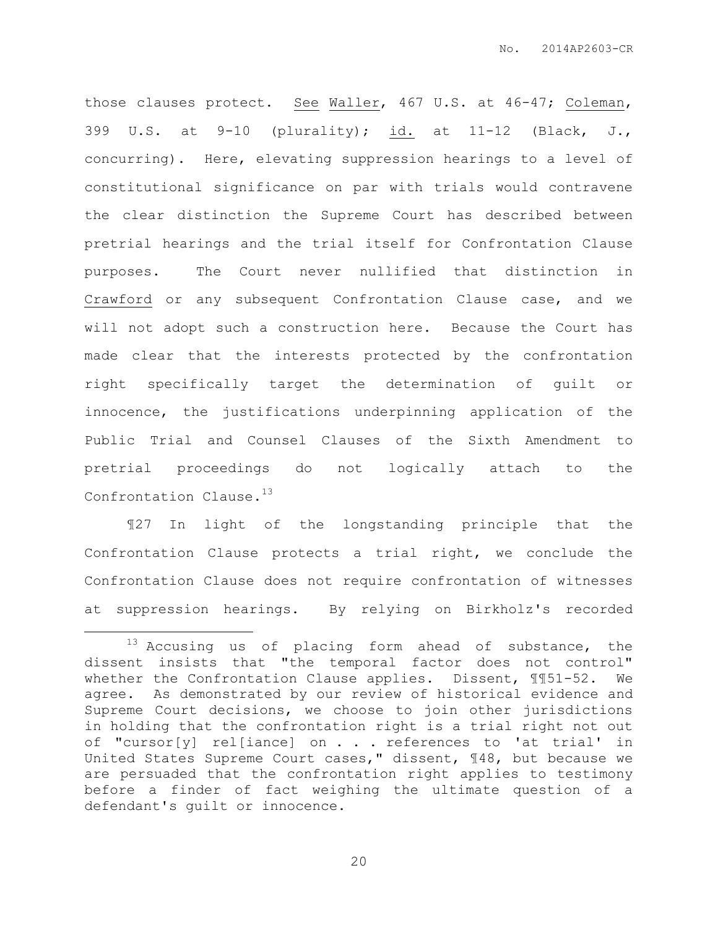those clauses protect. See Waller, 467 U.S. at 46-47; Coleman, 399 U.S. at 9-10 (plurality); id. at 11-12 (Black, J., concurring). Here, elevating suppression hearings to a level of constitutional significance on par with trials would contravene the clear distinction the Supreme Court has described between pretrial hearings and the trial itself for Confrontation Clause purposes. The Court never nullified that distinction in Crawford or any subsequent Confrontation Clause case, and we will not adopt such a construction here. Because the Court has made clear that the interests protected by the confrontation right specifically target the determination of guilt or innocence, the justifications underpinning application of the Public Trial and Counsel Clauses of the Sixth Amendment to pretrial proceedings do not logically attach to the Confrontation Clause.<sup>13</sup>

¶27 In light of the longstanding principle that the Confrontation Clause protects a trial right, we conclude the Confrontation Clause does not require confrontation of witnesses at suppression hearings. By relying on Birkholz's recorded

 $\overline{a}$ 

<sup>&</sup>lt;sup>13</sup> Accusing us of placing form ahead of substance, the dissent insists that "the temporal factor does not control" whether the Confrontation Clause applies. Dissent, ¶¶51-52. We agree. As demonstrated by our review of historical evidence and Supreme Court decisions, we choose to join other jurisdictions in holding that the confrontation right is a trial right not out of "cursor[y] rel[iance] on . . . references to 'at trial' in United States Supreme Court cases," dissent, ¶48, but because we are persuaded that the confrontation right applies to testimony before a finder of fact weighing the ultimate question of a defendant's guilt or innocence.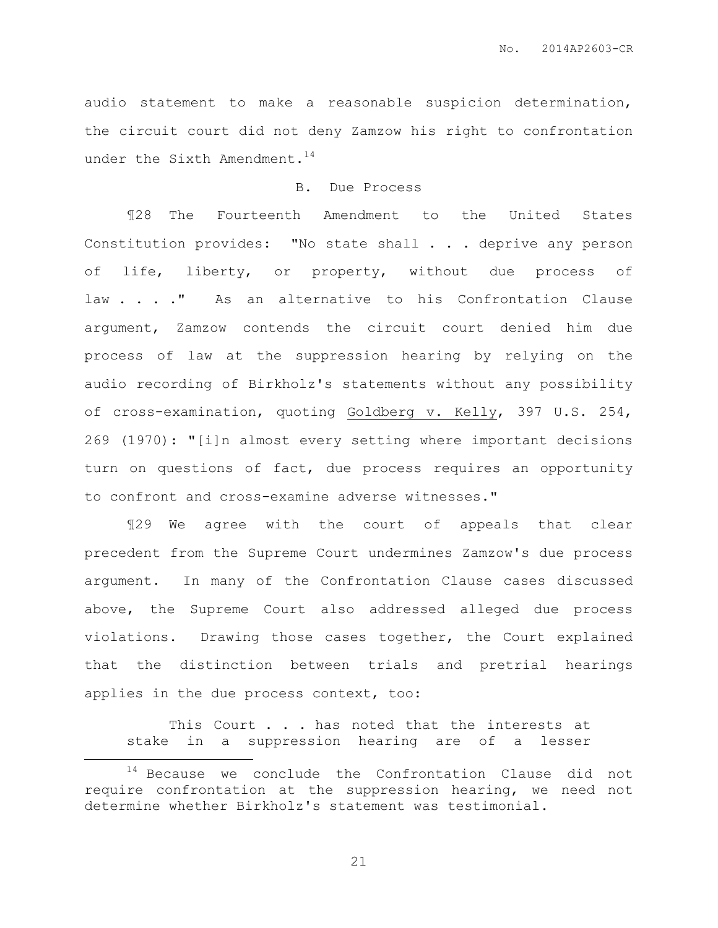audio statement to make a reasonable suspicion determination, the circuit court did not deny Zamzow his right to confrontation under the Sixth Amendment.<sup>14</sup>

## B. Due Process

¶28 The Fourteenth Amendment to the United States Constitution provides: "No state shall . . . deprive any person of life, liberty, or property, without due process of law . . . " As an alternative to his Confrontation Clause argument, Zamzow contends the circuit court denied him due process of law at the suppression hearing by relying on the audio recording of Birkholz's statements without any possibility of cross-examination, quoting Goldberg v. Kelly, 397 U.S. 254, 269 (1970): "[i]n almost every setting where important decisions turn on questions of fact, due process requires an opportunity to confront and cross-examine adverse witnesses."

¶29 We agree with the court of appeals that clear precedent from the Supreme Court undermines Zamzow's due process argument. In many of the Confrontation Clause cases discussed above, the Supreme Court also addressed alleged due process violations. Drawing those cases together, the Court explained that the distinction between trials and pretrial hearings applies in the due process context, too:

This Court . . . has noted that the interests at stake in a suppression hearing are of a lesser

 $\overline{a}$ 

<sup>&</sup>lt;sup>14</sup> Because we conclude the Confrontation Clause did not require confrontation at the suppression hearing, we need not determine whether Birkholz's statement was testimonial.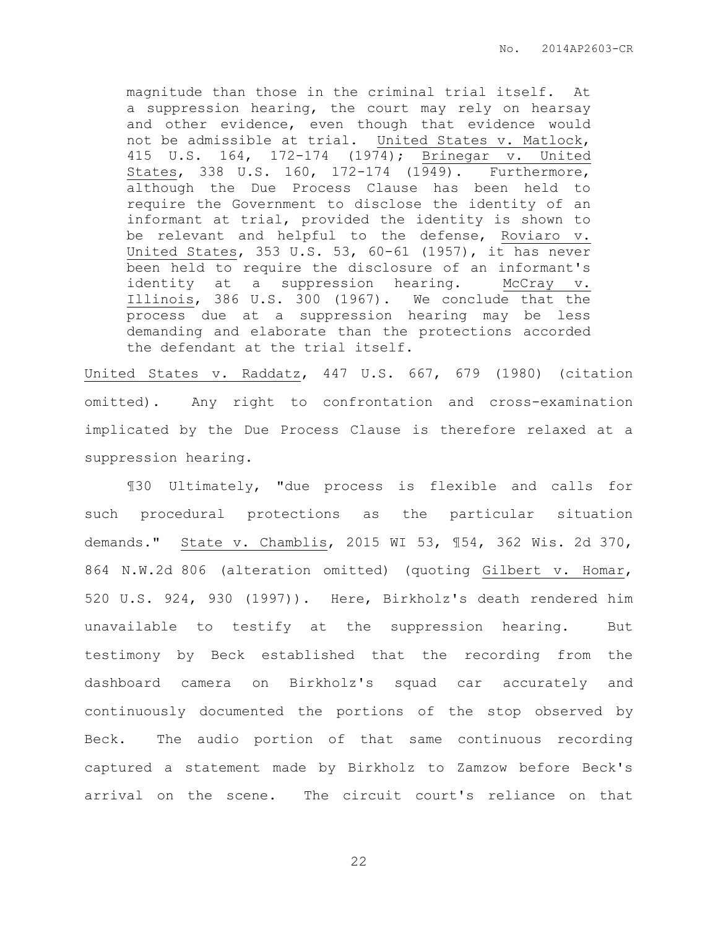magnitude than those in the criminal trial itself. At a suppression hearing, the court may rely on hearsay and other evidence, even though that evidence would not be admissible at trial. United States v. Matlock, 415 U.S. 164, 172-174 (1974); Brinegar v. United States, 338 U.S. 160, 172-174 (1949). Furthermore, although the Due Process Clause has been held to require the Government to disclose the identity of an informant at trial, provided the identity is shown to be relevant and helpful to the defense, Roviaro v. United States, 353 U.S. 53, 60-61 (1957), it has never been held to require the disclosure of an informant's identity at a suppression hearing. McCray v. Illinois, 386 U.S. 300 (1967). We conclude that the process due at a suppression hearing may be less demanding and elaborate than the protections accorded the defendant at the trial itself.

United States v. Raddatz, 447 U.S. 667, 679 (1980) (citation omitted). Any right to confrontation and cross-examination implicated by the Due Process Clause is therefore relaxed at a suppression hearing.

¶30 Ultimately, "due process is flexible and calls for such procedural protections as the particular situation demands." State v. Chamblis, 2015 WI 53, ¶54, 362 Wis. 2d 370, 864 N.W.2d 806 (alteration omitted) (quoting Gilbert v. Homar, 520 U.S. 924, 930 (1997)). Here, Birkholz's death rendered him unavailable to testify at the suppression hearing. But testimony by Beck established that the recording from the dashboard camera on Birkholz's squad car accurately and continuously documented the portions of the stop observed by Beck. The audio portion of that same continuous recording captured a statement made by Birkholz to Zamzow before Beck's arrival on the scene. The circuit court's reliance on that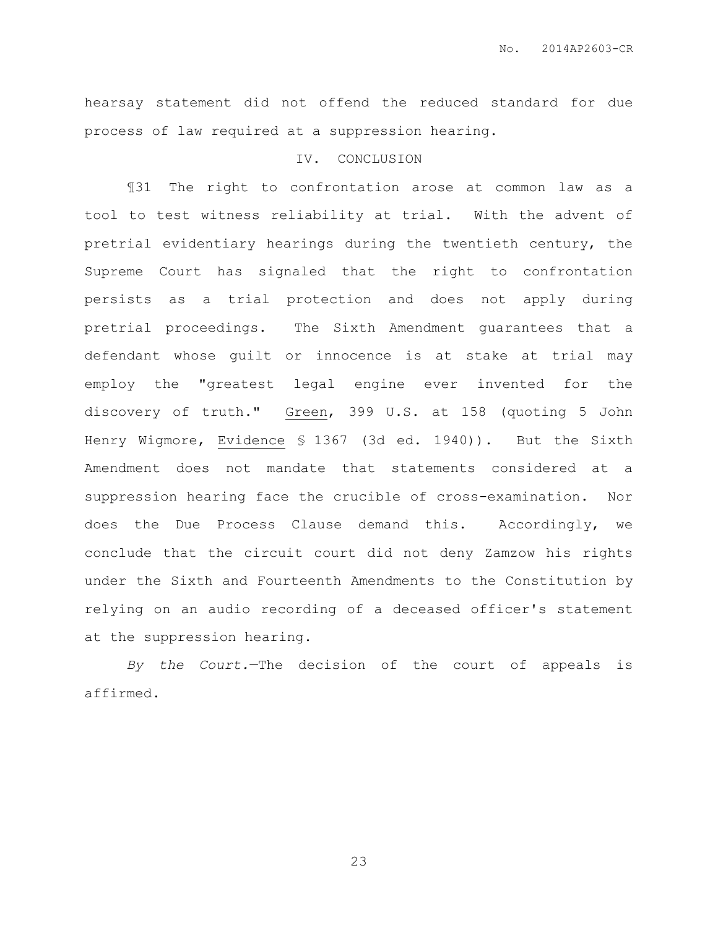hearsay statement did not offend the reduced standard for due process of law required at a suppression hearing.

## IV. CONCLUSION

¶31 The right to confrontation arose at common law as a tool to test witness reliability at trial. With the advent of pretrial evidentiary hearings during the twentieth century, the Supreme Court has signaled that the right to confrontation persists as a trial protection and does not apply during pretrial proceedings. The Sixth Amendment guarantees that a defendant whose guilt or innocence is at stake at trial may employ the "greatest legal engine ever invented for the discovery of truth." Green, 399 U.S. at 158 (quoting 5 John Henry Wigmore, Evidence § 1367 (3d ed. 1940)). But the Sixth Amendment does not mandate that statements considered at a suppression hearing face the crucible of cross-examination. Nor does the Due Process Clause demand this. Accordingly, we conclude that the circuit court did not deny Zamzow his rights under the Sixth and Fourteenth Amendments to the Constitution by relying on an audio recording of a deceased officer's statement at the suppression hearing.

*By the Court.*—The decision of the court of appeals is affirmed.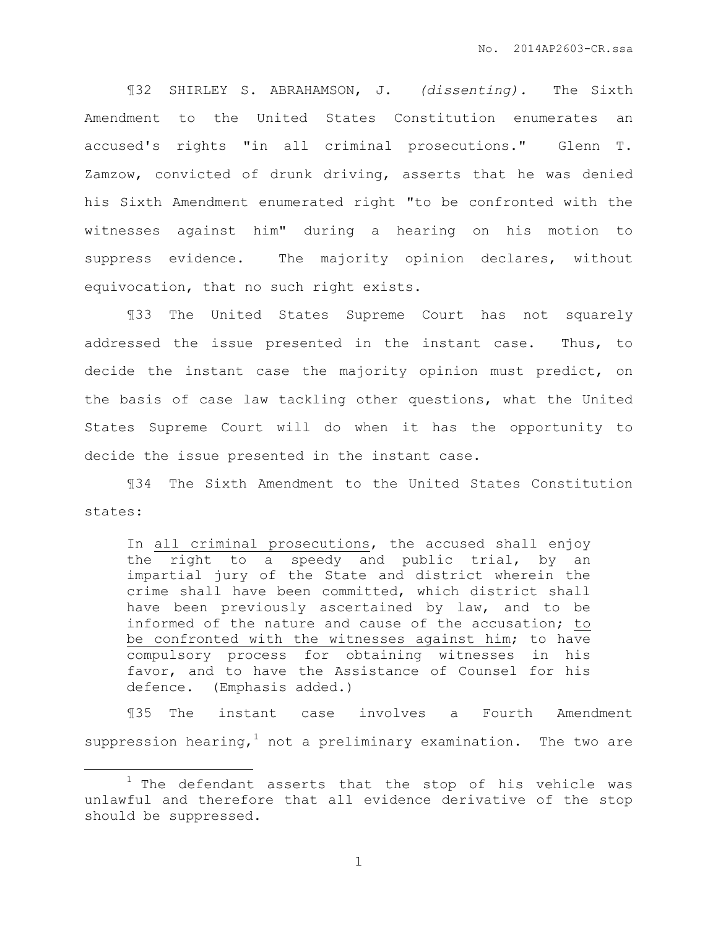¶32 SHIRLEY S. ABRAHAMSON, J. *(dissenting).* The Sixth Amendment to the United States Constitution enumerates an accused's rights "in all criminal prosecutions." Glenn T. Zamzow, convicted of drunk driving, asserts that he was denied his Sixth Amendment enumerated right "to be confronted with the witnesses against him" during a hearing on his motion to suppress evidence. The majority opinion declares, without equivocation, that no such right exists.

¶33 The United States Supreme Court has not squarely addressed the issue presented in the instant case. Thus, to decide the instant case the majority opinion must predict, on the basis of case law tackling other questions, what the United States Supreme Court will do when it has the opportunity to decide the issue presented in the instant case.

¶34 The Sixth Amendment to the United States Constitution states:

In all criminal prosecutions, the accused shall enjoy the right to a speedy and public trial, by an impartial jury of the State and district wherein the crime shall have been committed, which district shall have been previously ascertained by law, and to be informed of the nature and cause of the accusation; to be confronted with the witnesses against him; to have compulsory process for obtaining witnesses in his favor, and to have the Assistance of Counsel for his defence. (Emphasis added.)

¶35 The instant case involves a Fourth Amendment suppression hearing, not a preliminary examination. The two are

 $\overline{a}$ 

 $1$  The defendant asserts that the stop of his vehicle was unlawful and therefore that all evidence derivative of the stop should be suppressed.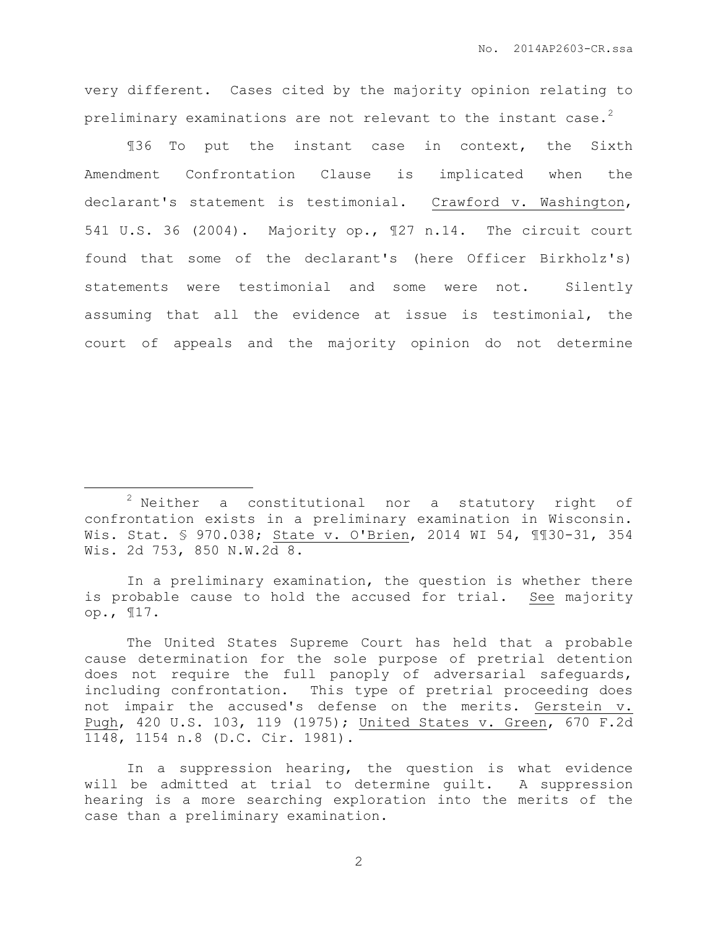very different. Cases cited by the majority opinion relating to preliminary examinations are not relevant to the instant case.<sup>2</sup>

¶36 To put the instant case in context, the Sixth Amendment Confrontation Clause is implicated when the declarant's statement is testimonial. Crawford v. Washington, 541 U.S. 36 (2004). Majority op., ¶27 n.14. The circuit court found that some of the declarant's (here Officer Birkholz's) statements were testimonial and some were not. Silently assuming that all the evidence at issue is testimonial, the court of appeals and the majority opinion do not determine

 $\overline{a}$ 

In a preliminary examination, the question is whether there is probable cause to hold the accused for trial. See majority op., ¶17.

The United States Supreme Court has held that a probable cause determination for the sole purpose of pretrial detention does not require the full panoply of adversarial safeguards, including confrontation. This type of pretrial proceeding does not impair the accused's defense on the merits. Gerstein v. Pugh, 420 U.S. 103, 119 (1975); United States v. Green, 670 F.2d 1148, 1154 n.8 (D.C. Cir. 1981).

In a suppression hearing, the question is what evidence will be admitted at trial to determine guilt. A suppression hearing is a more searching exploration into the merits of the case than a preliminary examination.

 $2$  Neither a constitutional nor a statutory right of confrontation exists in a preliminary examination in Wisconsin. Wis. Stat. § 970.038; State v. O'Brien, 2014 WI 54, ¶¶30-31, 354 Wis. 2d 753, 850 N.W.2d 8.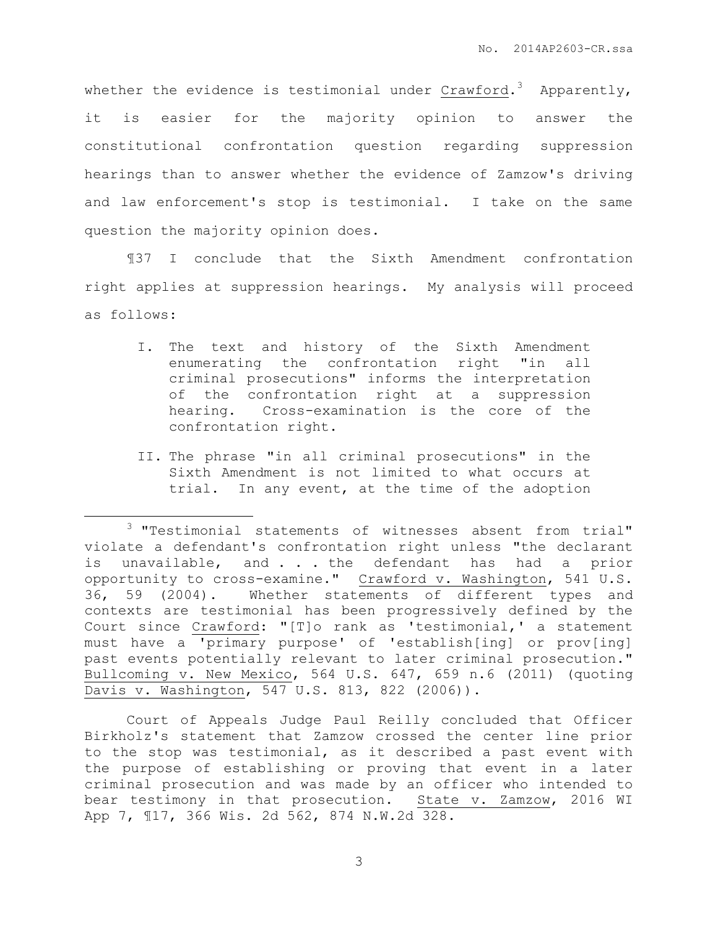whether the evidence is testimonial under Crawford. $^3$  Apparently, it is easier for the majority opinion to answer the constitutional confrontation question regarding suppression hearings than to answer whether the evidence of Zamzow's driving and law enforcement's stop is testimonial. I take on the same question the majority opinion does.

¶37 I conclude that the Sixth Amendment confrontation right applies at suppression hearings. My analysis will proceed as follows:

- I. The text and history of the Sixth Amendment enumerating the confrontation right "in all criminal prosecutions" informs the interpretation of the confrontation right at a suppression hearing. Cross-examination is the core of the confrontation right.
- II. The phrase "in all criminal prosecutions" in the Sixth Amendment is not limited to what occurs at trial. In any event, at the time of the adoption

 $\overline{a}$ 

Court of Appeals Judge Paul Reilly concluded that Officer Birkholz's statement that Zamzow crossed the center line prior to the stop was testimonial, as it described a past event with the purpose of establishing or proving that event in a later criminal prosecution and was made by an officer who intended to bear testimony in that prosecution. State v. Zamzow, 2016 WI App 7, ¶17, 366 Wis. 2d 562, 874 N.W.2d 328.

<sup>&</sup>lt;sup>3</sup> "Testimonial statements of witnesses absent from trial" violate a defendant's confrontation right unless "the declarant is unavailable, and . . . the defendant has had a prior opportunity to cross-examine." Crawford v. Washington, 541 U.S. 36, 59 (2004). Whether statements of different types and contexts are testimonial has been progressively defined by the Court since Crawford: "[T]o rank as 'testimonial,' a statement must have a 'primary purpose' of 'establish[ing] or prov[ing] past events potentially relevant to later criminal prosecution." Bullcoming v. New Mexico, 564 U.S. 647, 659 n.6 (2011) (quoting Davis v. Washington, 547 U.S. 813, 822 (2006)).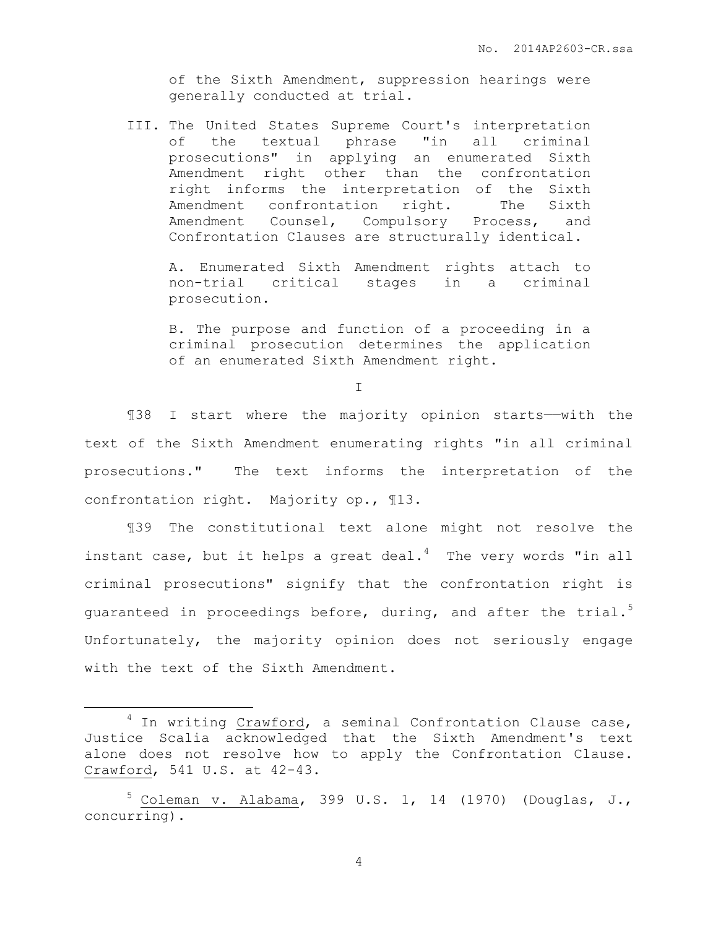of the Sixth Amendment, suppression hearings were generally conducted at trial.

III. The United States Supreme Court's interpretation of the textual phrase "in all criminal prosecutions" in applying an enumerated Sixth Amendment right other than the confrontation right informs the interpretation of the Sixth Amendment confrontation right. The Sixth Amendment Counsel, Compulsory Process, and Confrontation Clauses are structurally identical.

A. Enumerated Sixth Amendment rights attach to non-trial critical stages in a criminal prosecution.

B. The purpose and function of a proceeding in a criminal prosecution determines the application of an enumerated Sixth Amendment right.

I

¶38 I start where the majority opinion starts——with the text of the Sixth Amendment enumerating rights "in all criminal prosecutions." The text informs the interpretation of the confrontation right. Majority op., ¶13.

¶39 The constitutional text alone might not resolve the instant case, but it helps a great deal. $4$  The very words "in all criminal prosecutions" signify that the confrontation right is guaranteed in proceedings before, during, and after the trial.<sup>5</sup> Unfortunately, the majority opinion does not seriously engage with the text of the Sixth Amendment.

 $\overline{a}$ 

 $4$  In writing Crawford, a seminal Confrontation Clause case, Justice Scalia acknowledged that the Sixth Amendment's text alone does not resolve how to apply the Confrontation Clause. Crawford, 541 U.S. at 42-43.

 $5$  Coleman v. Alabama, 399 U.S. 1, 14 (1970) (Douglas, J., concurring).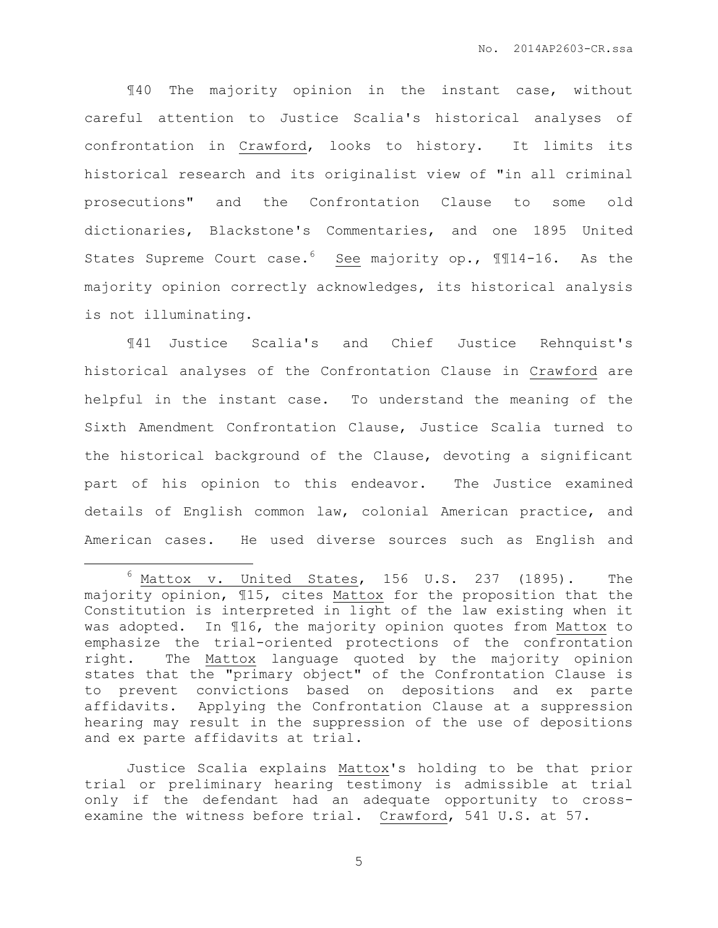¶40 The majority opinion in the instant case, without careful attention to Justice Scalia's historical analyses of confrontation in Crawford, looks to history. It limits its historical research and its originalist view of "in all criminal prosecutions" and the Confrontation Clause to some old dictionaries, Blackstone's Commentaries, and one 1895 United States Supreme Court case.<sup>6</sup> See majority op., 1114-16. As the majority opinion correctly acknowledges, its historical analysis is not illuminating.

¶41 Justice Scalia's and Chief Justice Rehnquist's historical analyses of the Confrontation Clause in Crawford are helpful in the instant case. To understand the meaning of the Sixth Amendment Confrontation Clause, Justice Scalia turned to the historical background of the Clause, devoting a significant part of his opinion to this endeavor. The Justice examined details of English common law, colonial American practice, and American cases. He used diverse sources such as English and

 $\overline{a}$ 

Justice Scalia explains Mattox's holding to be that prior trial or preliminary hearing testimony is admissible at trial only if the defendant had an adequate opportunity to crossexamine the witness before trial. Crawford, 541 U.S. at 57.

 $6$  Mattox v. United States, 156 U.S. 237 (1895). The majority opinion, ¶15, cites Mattox for the proposition that the Constitution is interpreted in light of the law existing when it was adopted. In ¶16, the majority opinion quotes from Mattox to emphasize the trial-oriented protections of the confrontation right. The Mattox language quoted by the majority opinion states that the "primary object" of the Confrontation Clause is to prevent convictions based on depositions and ex parte affidavits. Applying the Confrontation Clause at a suppression hearing may result in the suppression of the use of depositions and ex parte affidavits at trial.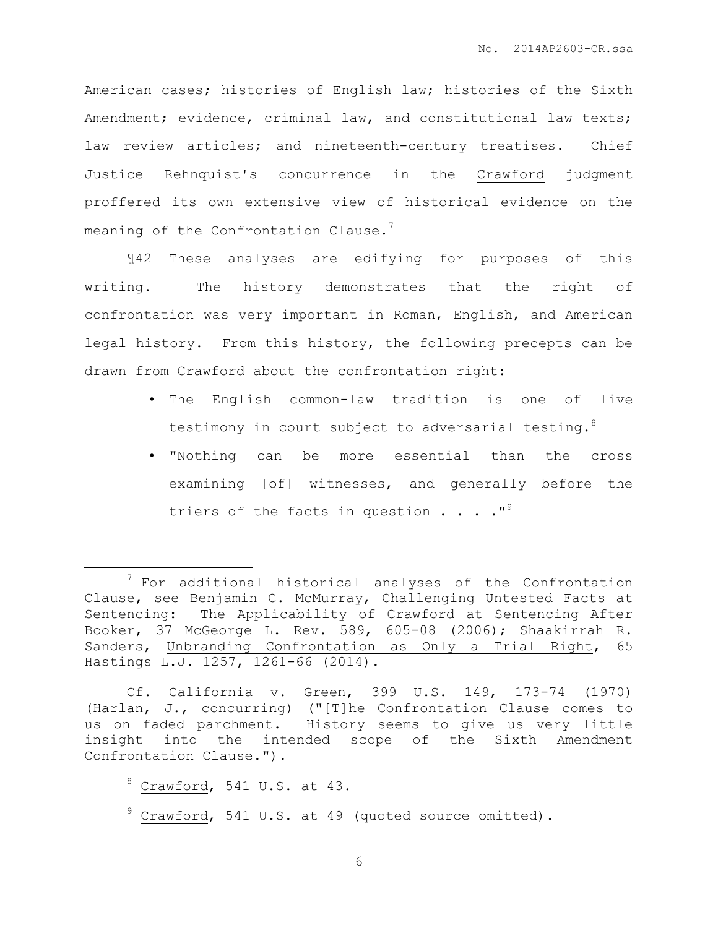American cases; histories of English law; histories of the Sixth Amendment; evidence, criminal law, and constitutional law texts; law review articles; and nineteenth-century treatises. Chief Justice Rehnquist's concurrence in the Crawford judgment proffered its own extensive view of historical evidence on the meaning of the Confrontation Clause. $7$ 

¶42 These analyses are edifying for purposes of this writing. The history demonstrates that the right of confrontation was very important in Roman, English, and American legal history. From this history, the following precepts can be drawn from Crawford about the confrontation right:

- The English common-law tradition is one of live testimony in court subject to adversarial testing.<sup>8</sup>
- "Nothing can be more essential than the cross examining [of] witnesses, and generally before the triers of the facts in question  $\ldots$ ."<sup>9</sup>

Cf. California v. Green, 399 U.S. 149, 173-74 (1970) (Harlan, J., concurring) ("[T]he Confrontation Clause comes to us on faded parchment. History seems to give us very little insight into the intended scope of the Sixth Amendment Confrontation Clause.").

 $8$  Crawford, 541 U.S. at 43.

 $\overline{a}$ 

 $9$  Crawford, 541 U.S. at 49 (quoted source omitted).

 $7$  For additional historical analyses of the Confrontation Clause, see Benjamin C. McMurray, Challenging Untested Facts at Sentencing: The Applicability of Crawford at Sentencing After Booker, 37 McGeorge L. Rev. 589, 605-08 (2006); Shaakirrah R. Sanders, Unbranding Confrontation as Only a Trial Right, 65 Hastings L.J. 1257, 1261-66 (2014).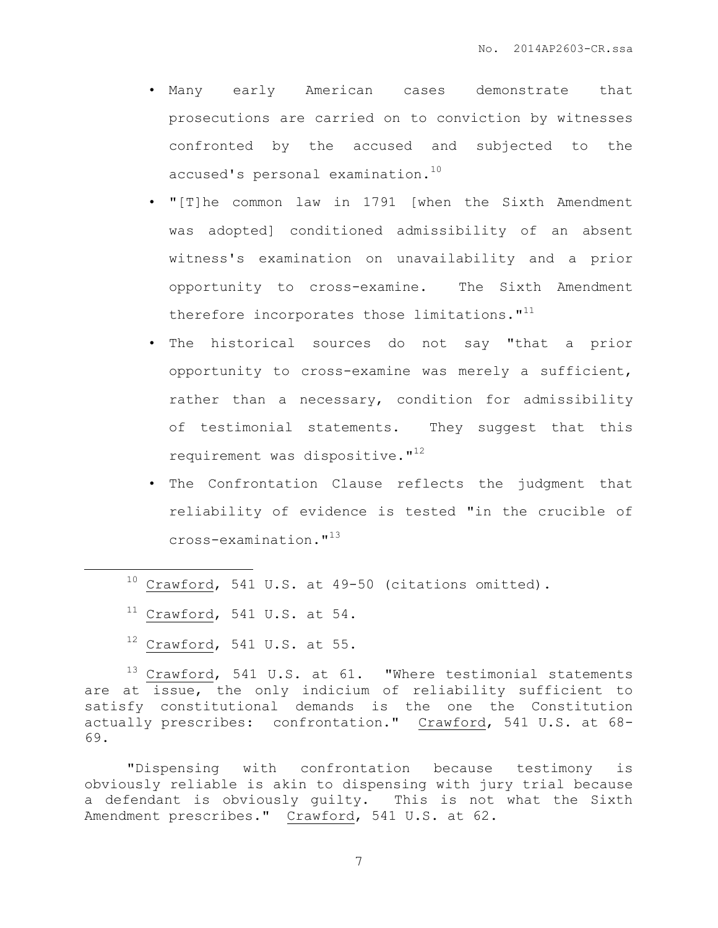- Many early American cases demonstrate that prosecutions are carried on to conviction by witnesses confronted by the accused and subjected to the accused's personal examination.<sup>10</sup>
- "[T]he common law in 1791 [when the Sixth Amendment was adopted] conditioned admissibility of an absent witness's examination on unavailability and a prior opportunity to cross-examine. The Sixth Amendment therefore incorporates those limitations."<sup>11</sup>
- The historical sources do not say "that a prior opportunity to cross-examine was merely a sufficient, rather than a necessary, condition for admissibility of testimonial statements. They suggest that this requirement was dispositive. $1^{12}$
- The Confrontation Clause reflects the judgment that reliability of evidence is tested "in the crucible of cross-examination."<sup>13</sup>
- $10$  Crawford, 541 U.S. at 49-50 (citations omitted).
- $11$  Crawford, 541 U.S. at 54.

 $\overline{a}$ 

 $12$  Crawford, 541 U.S. at 55.

<sup>13</sup> Crawford, 541 U.S. at 61. "Where testimonial statements are at issue, the only indicium of reliability sufficient to satisfy constitutional demands is the one the Constitution actually prescribes: confrontation." Crawford, 541 U.S. at 68- 69.

"Dispensing with confrontation because testimony is obviously reliable is akin to dispensing with jury trial because a defendant is obviously guilty. This is not what the Sixth Amendment prescribes." Crawford, 541 U.S. at 62.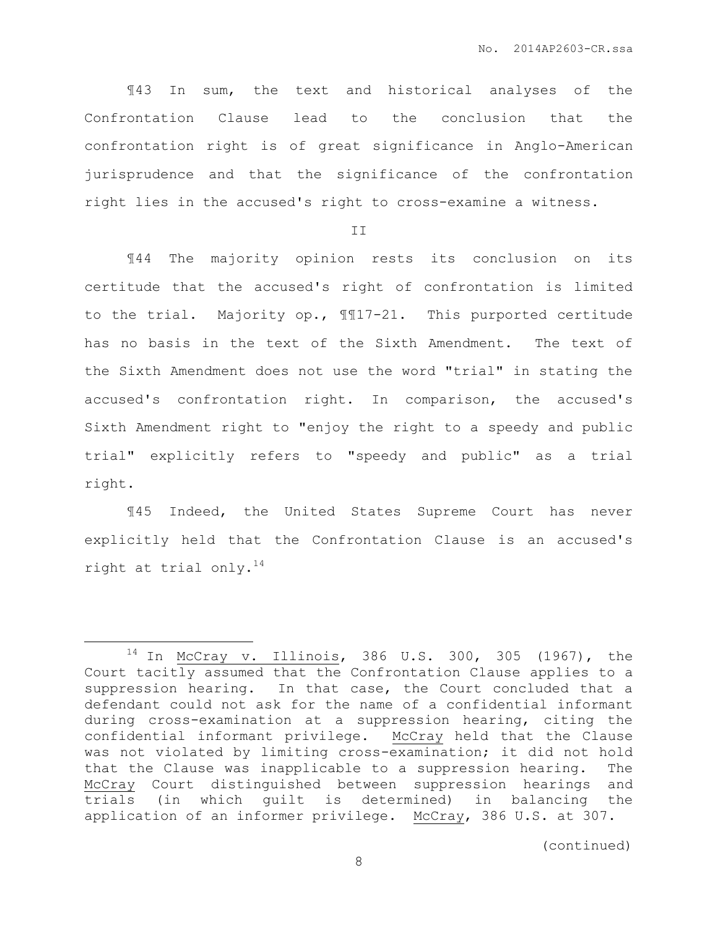¶43 In sum, the text and historical analyses of the Confrontation Clause lead to the conclusion that the confrontation right is of great significance in Anglo-American jurisprudence and that the significance of the confrontation right lies in the accused's right to cross-examine a witness.

II

¶44 The majority opinion rests its conclusion on its certitude that the accused's right of confrontation is limited to the trial. Majority op., ¶¶17-21. This purported certitude has no basis in the text of the Sixth Amendment. The text of the Sixth Amendment does not use the word "trial" in stating the accused's confrontation right. In comparison, the accused's Sixth Amendment right to "enjoy the right to a speedy and public trial" explicitly refers to "speedy and public" as a trial right.

¶45 Indeed, the United States Supreme Court has never explicitly held that the Confrontation Clause is an accused's right at trial only.<sup>14</sup>

 $\overline{a}$ 

<sup>14</sup> In McCray v. Illinois, 386 U.S. 300, 305 (1967), the Court tacitly assumed that the Confrontation Clause applies to a suppression hearing. In that case, the Court concluded that a defendant could not ask for the name of a confidential informant during cross-examination at a suppression hearing, citing the confidential informant privilege. McCray held that the Clause was not violated by limiting cross-examination; it did not hold that the Clause was inapplicable to a suppression hearing. The McCray Court distinguished between suppression hearings and trials (in which guilt is determined) in balancing the application of an informer privilege. McCray, 386 U.S. at 307.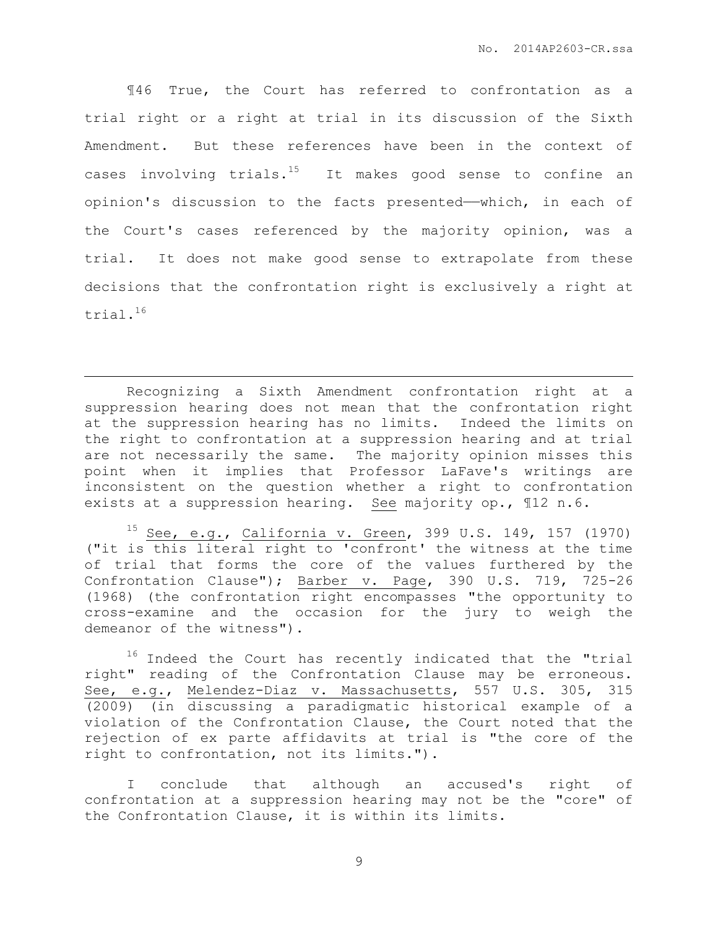¶46 True, the Court has referred to confrontation as a trial right or a right at trial in its discussion of the Sixth Amendment. But these references have been in the context of cases involving  $trials.^{15}$  It makes good sense to confine an opinion's discussion to the facts presented——which, in each of the Court's cases referenced by the majority opinion, was a trial. It does not make good sense to extrapolate from these decisions that the confrontation right is exclusively a right at trial.<sup>16</sup>

Recognizing a Sixth Amendment confrontation right at a suppression hearing does not mean that the confrontation right at the suppression hearing has no limits. Indeed the limits on the right to confrontation at a suppression hearing and at trial are not necessarily the same. The majority opinion misses this point when it implies that Professor LaFave's writings are inconsistent on the question whether a right to confrontation exists at a suppression hearing. See majority op., ¶12 n.6.

 $\overline{a}$ 

See, e.g., California v. Green, 399 U.S. 149, 157 (1970) ("it is this literal right to 'confront' the witness at the time of trial that forms the core of the values furthered by the Confrontation Clause"); Barber v. Page, 390 U.S. 719, 725-26 (1968) (the confrontation right encompasses "the opportunity to cross-examine and the occasion for the jury to weigh the demeanor of the witness").

 $16$  Indeed the Court has recently indicated that the "trial right" reading of the Confrontation Clause may be erroneous. See, e.g., Melendez-Diaz v. Massachusetts, 557 U.S. 305, 315 (2009) (in discussing a paradigmatic historical example of a violation of the Confrontation Clause, the Court noted that the rejection of ex parte affidavits at trial is "the core of the right to confrontation, not its limits.").

I conclude that although an accused's right of confrontation at a suppression hearing may not be the "core" of the Confrontation Clause, it is within its limits.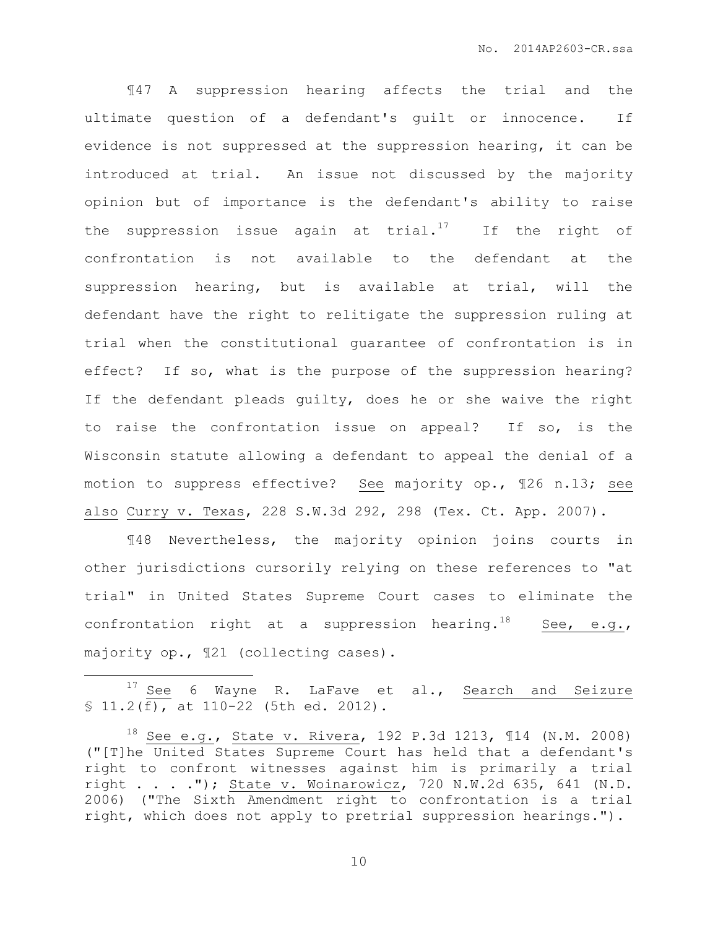¶47 A suppression hearing affects the trial and the ultimate question of a defendant's guilt or innocence. If evidence is not suppressed at the suppression hearing, it can be introduced at trial. An issue not discussed by the majority opinion but of importance is the defendant's ability to raise the suppression issue again at trial. $17$  If the right of confrontation is not available to the defendant at the suppression hearing, but is available at trial, will the defendant have the right to relitigate the suppression ruling at trial when the constitutional guarantee of confrontation is in effect? If so, what is the purpose of the suppression hearing? If the defendant pleads guilty, does he or she waive the right to raise the confrontation issue on appeal? If so, is the Wisconsin statute allowing a defendant to appeal the denial of a motion to suppress effective? See majority op., ¶26 n.13; see also Curry v. Texas, 228 S.W.3d 292, 298 (Tex. Ct. App. 2007).

¶48 Nevertheless, the majority opinion joins courts in other jurisdictions cursorily relying on these references to "at trial" in United States Supreme Court cases to eliminate the confrontation right at a suppression hearing.<sup>18</sup> See, e.g., majority op., ¶21 (collecting cases).

 $\overline{a}$ 

<sup>&</sup>lt;sup>17</sup> See 6 Wayne R. LaFave et al., Search and Seizure § 11.2(f), at 110-22 (5th ed. 2012).

<sup>18</sup> See e.g., State v. Rivera, 192 P.3d 1213, ¶14 (N.M. 2008) ("[T]he United States Supreme Court has held that a defendant's right to confront witnesses against him is primarily a trial right . . . ."); State v. Woinarowicz, 720 N.W.2d 635, 641 (N.D. 2006) ("The Sixth Amendment right to confrontation is a trial right, which does not apply to pretrial suppression hearings.").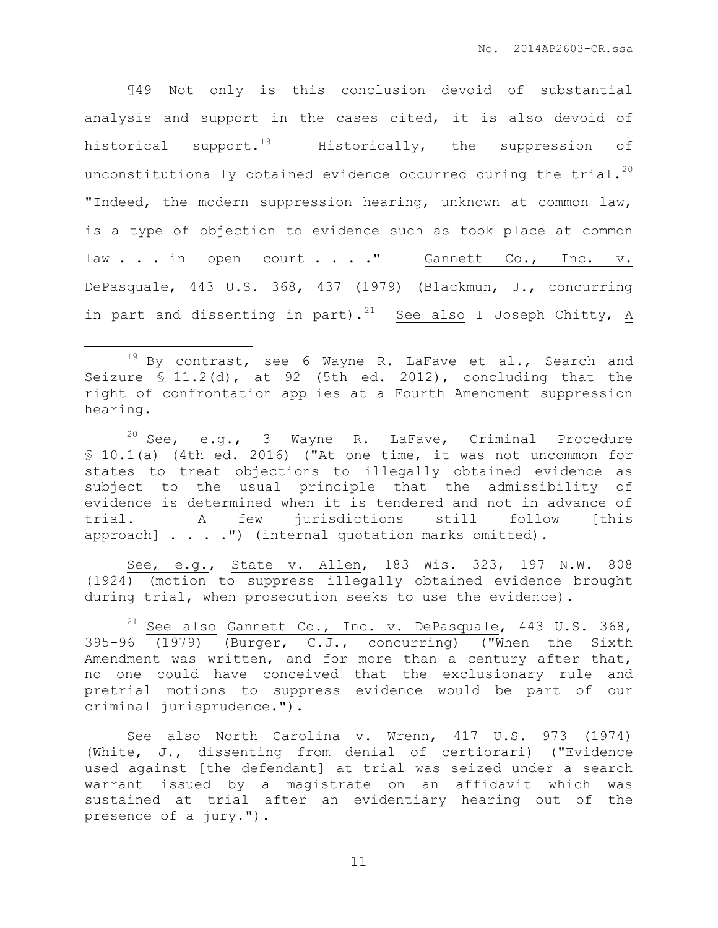¶49 Not only is this conclusion devoid of substantial analysis and support in the cases cited, it is also devoid of historical support.<sup>19</sup> Historically, the suppression of unconstitutionally obtained evidence occurred during the trial.<sup>20</sup> "Indeed, the modern suppression hearing, unknown at common law, is a type of objection to evidence such as took place at common law . . . in open court . . . " Gannett Co., Inc. v. DePasquale, 443 U.S. 368, 437 (1979) (Blackmun, J., concurring in part and dissenting in part).<sup>21</sup> See also I Joseph Chitty, A

 $\overline{a}$ 

 $20$  See, e.g., 3 Wayne R. LaFave, Criminal Procedure § 10.1(a) (4th ed. 2016) ("At one time, it was not uncommon for states to treat objections to illegally obtained evidence as subject to the usual principle that the admissibility of evidence is determined when it is tendered and not in advance of trial. A few jurisdictions still follow [this approach] . . . . ") (internal quotation marks omitted).

See, e.g., State v. Allen, 183 Wis. 323, 197 N.W. 808 (1924) (motion to suppress illegally obtained evidence brought during trial, when prosecution seeks to use the evidence).

<sup>21</sup> See also Gannett Co., Inc. v. DePasquale, 443 U.S. 368, 395-96 (1979) (Burger, C.J., concurring) ("When the Sixth Amendment was written, and for more than a century after that, no one could have conceived that the exclusionary rule and pretrial motions to suppress evidence would be part of our criminal jurisprudence.").

See also North Carolina v. Wrenn, 417 U.S. 973 (1974) (White, J., dissenting from denial of certiorari) ("Evidence used against [the defendant] at trial was seized under a search warrant issued by a magistrate on an affidavit which was sustained at trial after an evidentiary hearing out of the presence of a jury.").

 $19$  By contrast, see 6 Wayne R. LaFave et al., Search and Seizure  $\bar{S}$  11.2(d), at 92 (5th ed. 2012), concluding that the right of confrontation applies at a Fourth Amendment suppression hearing.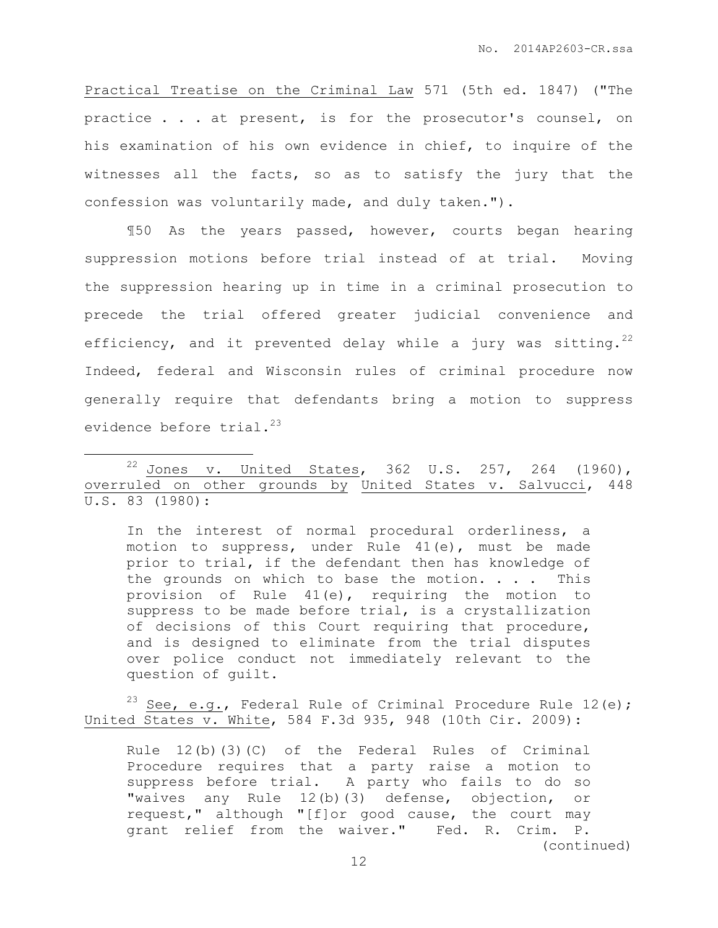Practical Treatise on the Criminal Law 571 (5th ed. 1847) ("The practice . . . at present, is for the prosecutor's counsel, on his examination of his own evidence in chief, to inquire of the witnesses all the facts, so as to satisfy the jury that the confession was voluntarily made, and duly taken.").

¶50 As the years passed, however, courts began hearing suppression motions before trial instead of at trial. Moving the suppression hearing up in time in a criminal prosecution to precede the trial offered greater judicial convenience and efficiency, and it prevented delay while a jury was sitting.<sup>22</sup> Indeed, federal and Wisconsin rules of criminal procedure now generally require that defendants bring a motion to suppress evidence before  $trial.^{23}$ 

 $\overline{a}$ 

In the interest of normal procedural orderliness, a motion to suppress, under Rule 41(e), must be made prior to trial, if the defendant then has knowledge of the grounds on which to base the motion.  $\ldots$  . This provision of Rule 41(e), requiring the motion to suppress to be made before trial, is a crystallization of decisions of this Court requiring that procedure, and is designed to eliminate from the trial disputes over police conduct not immediately relevant to the question of guilt.

<sup>23</sup> See, e.g., Federal Rule of Criminal Procedure Rule 12(e); United States v. White, 584 F.3d 935, 948 (10th Cir. 2009):

Rule 12(b)(3)(C) of the Federal Rules of Criminal Procedure requires that a party raise a motion to suppress before trial. A party who fails to do so "waives any Rule 12(b)(3) defense, objection, or request," although "[f]or good cause, the court may grant relief from the waiver." Fed. R. Crim. P. (continued)

<sup>&</sup>lt;sup>22</sup> Jones v. United States, 362 U.S. 257, 264 (1960), overruled on other grounds by United States v. Salvucci, 448 U.S. 83 (1980):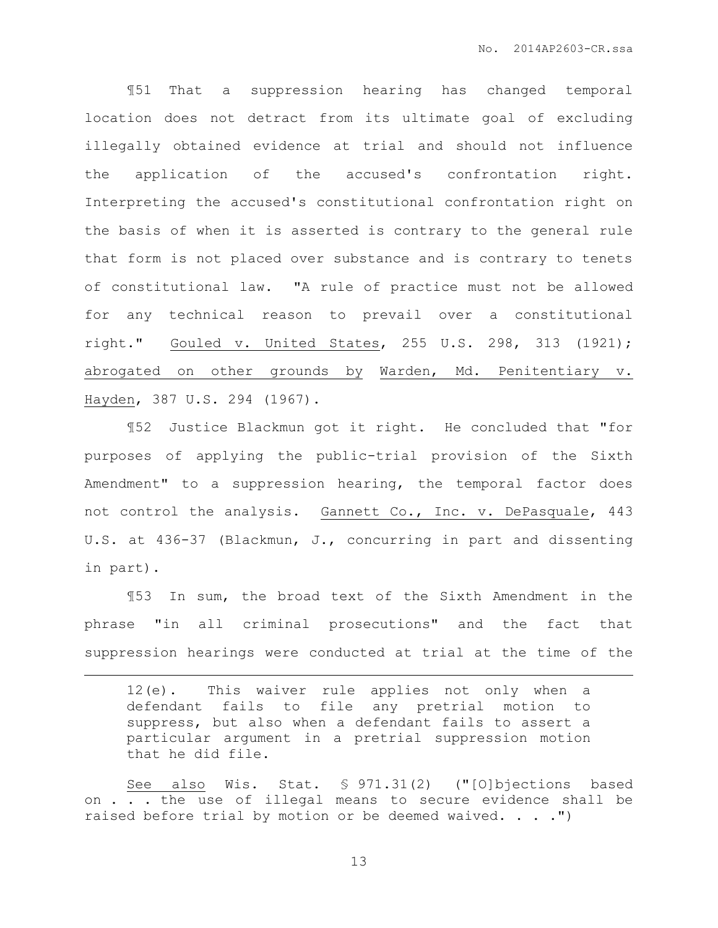¶51 That a suppression hearing has changed temporal location does not detract from its ultimate goal of excluding illegally obtained evidence at trial and should not influence the application of the accused's confrontation right. Interpreting the accused's constitutional confrontation right on the basis of when it is asserted is contrary to the general rule that form is not placed over substance and is contrary to tenets of constitutional law. "A rule of practice must not be allowed for any technical reason to prevail over a constitutional right." Gouled v. United States, 255 U.S. 298, 313 (1921); abrogated on other grounds by Warden, Md. Penitentiary v. Hayden, 387 U.S. 294 (1967).

¶52 Justice Blackmun got it right. He concluded that "for purposes of applying the public-trial provision of the Sixth Amendment" to a suppression hearing, the temporal factor does not control the analysis. Gannett Co., Inc. v. DePasquale, 443 U.S. at 436-37 (Blackmun, J., concurring in part and dissenting in part).

¶53 In sum, the broad text of the Sixth Amendment in the phrase "in all criminal prosecutions" and the fact that suppression hearings were conducted at trial at the time of the

 $\overline{a}$ 

12(e). This waiver rule applies not only when a defendant fails to file any pretrial motion to suppress, but also when a defendant fails to assert a particular argument in a pretrial suppression motion that he did file.

See also Wis. Stat. § 971.31(2) ("[O]bjections based on . . . the use of illegal means to secure evidence shall be raised before trial by motion or be deemed waived. . . .")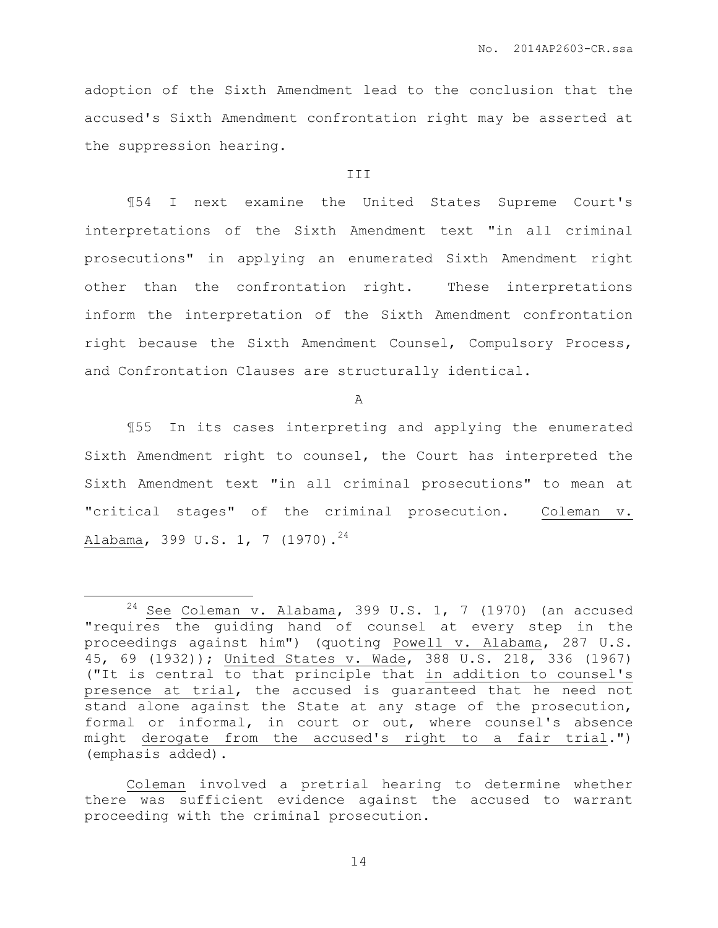adoption of the Sixth Amendment lead to the conclusion that the accused's Sixth Amendment confrontation right may be asserted at the suppression hearing.

#### **III**

¶54 I next examine the United States Supreme Court's interpretations of the Sixth Amendment text "in all criminal prosecutions" in applying an enumerated Sixth Amendment right other than the confrontation right. These interpretations inform the interpretation of the Sixth Amendment confrontation right because the Sixth Amendment Counsel, Compulsory Process, and Confrontation Clauses are structurally identical.

A

¶55 In its cases interpreting and applying the enumerated Sixth Amendment right to counsel, the Court has interpreted the Sixth Amendment text "in all criminal prosecutions" to mean at "critical stages" of the criminal prosecution. Coleman v. Alabama, 399 U.S. 1, 7 (1970).<sup>24</sup>

 $\overline{a}$ 

 $24$  See Coleman v. Alabama, 399 U.S. 1, 7 (1970) (an accused "requires the guiding hand of counsel at every step in the proceedings against him") (quoting Powell v. Alabama, 287 U.S. 45, 69 (1932)); United States v. Wade, 388 U.S. 218, 336 (1967) ("It is central to that principle that in addition to counsel's presence at trial, the accused is guaranteed that he need not stand alone against the State at any stage of the prosecution, formal or informal, in court or out, where counsel's absence might derogate from the accused's right to a fair trial.") (emphasis added).

Coleman involved a pretrial hearing to determine whether there was sufficient evidence against the accused to warrant proceeding with the criminal prosecution.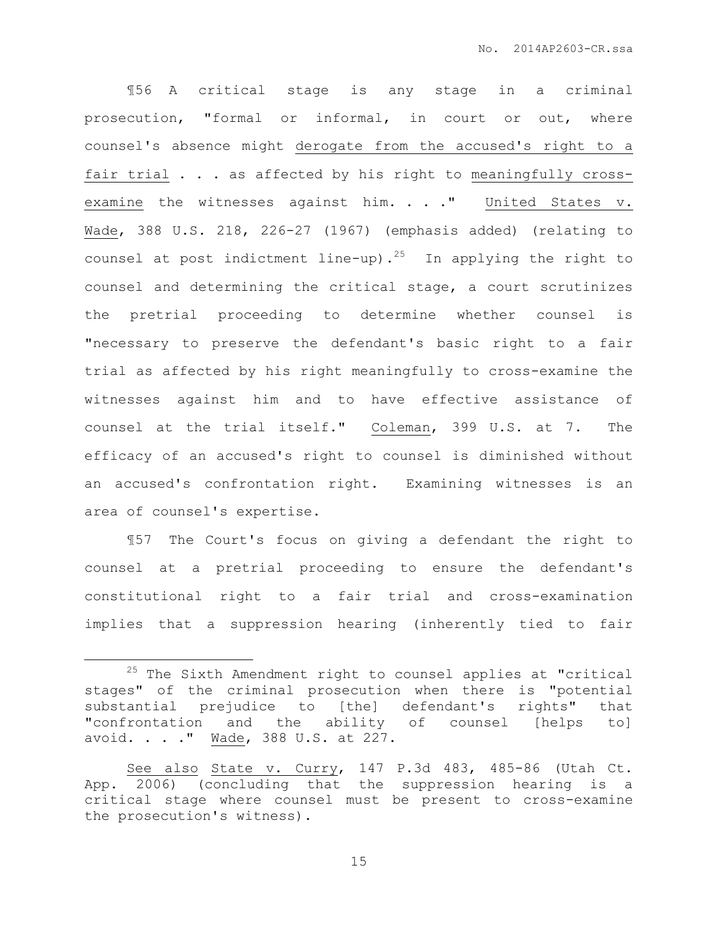¶56 A critical stage is any stage in a criminal prosecution, "formal or informal, in court or out, where counsel's absence might derogate from the accused's right to a fair trial . . . as affected by his right to meaningfully crossexamine the witnesses against him. . . . " United States v. Wade, 388 U.S. 218, 226-27 (1967) (emphasis added) (relating to counsel at post indictment line-up).<sup>25</sup> In applying the right to counsel and determining the critical stage, a court scrutinizes the pretrial proceeding to determine whether counsel is "necessary to preserve the defendant's basic right to a fair trial as affected by his right meaningfully to cross-examine the witnesses against him and to have effective assistance of counsel at the trial itself." Coleman, 399 U.S. at 7. The efficacy of an accused's right to counsel is diminished without an accused's confrontation right. Examining witnesses is an area of counsel's expertise.

¶57 The Court's focus on giving a defendant the right to counsel at a pretrial proceeding to ensure the defendant's constitutional right to a fair trial and cross-examination implies that a suppression hearing (inherently tied to fair

 $\overline{a}$ 

<sup>&</sup>lt;sup>25</sup> The Sixth Amendment right to counsel applies at "critical stages" of the criminal prosecution when there is "potential substantial prejudice to [the] defendant's rights" that "confrontation and the ability of counsel [helps to] avoid. . . ." Wade, 388 U.S. at 227.

See also State v. Curry, 147 P.3d 483, 485-86 (Utah Ct. App. 2006) (concluding that the suppression hearing is a critical stage where counsel must be present to cross-examine the prosecution's witness).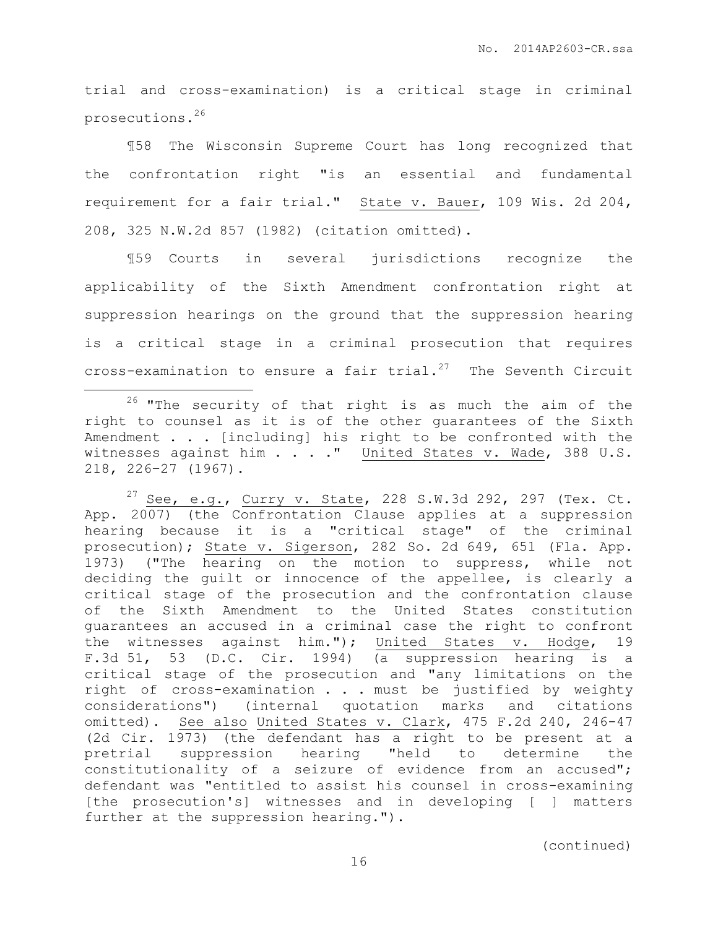trial and cross-examination) is a critical stage in criminal prosecutions.<sup>26</sup>

¶58 The Wisconsin Supreme Court has long recognized that the confrontation right "is an essential and fundamental requirement for a fair trial." State v. Bauer, 109 Wis. 2d 204, 208, 325 N.W.2d 857 (1982) (citation omitted).

¶59 Courts in several jurisdictions recognize the applicability of the Sixth Amendment confrontation right at suppression hearings on the ground that the suppression hearing is a critical stage in a criminal prosecution that requires cross-examination to ensure a fair trial. <sup>27</sup> The Seventh Circuit

 $\overline{a}$ 

 $27$  See, e.g., Curry v. State, 228 S.W.3d 292, 297 (Tex. Ct. App. 2007) (the Confrontation Clause applies at a suppression hearing because it is a "critical stage" of the criminal prosecution); State v. Sigerson, 282 So. 2d 649, 651 (Fla. App. 1973) ("The hearing on the motion to suppress, while not deciding the guilt or innocence of the appellee, is clearly a critical stage of the prosecution and the confrontation clause of the Sixth Amendment to the United States constitution guarantees an accused in a criminal case the right to confront the witnesses against him."); United States v. Hodge, 19 F.3d 51, 53 (D.C. Cir. 1994) (a suppression hearing is a critical stage of the prosecution and "any limitations on the right of cross-examination . . . must be justified by weighty considerations") (internal quotation marks and citations omitted). See also United States v. Clark, 475 F.2d 240, 246-47 (2d Cir. 1973) (the defendant has a right to be present at a pretrial suppression hearing "held to determine the constitutionality of a seizure of evidence from an accused"; defendant was "entitled to assist his counsel in cross-examining [the prosecution's] witnesses and in developing [ ] matters further at the suppression hearing.").

 $26$  "The security of that right is as much the aim of the right to counsel as it is of the other guarantees of the Sixth Amendment . . . [including] his right to be confronted with the witnesses against him . . . . " United States v. Wade, 388 U.S. 218, 226–27 (1967).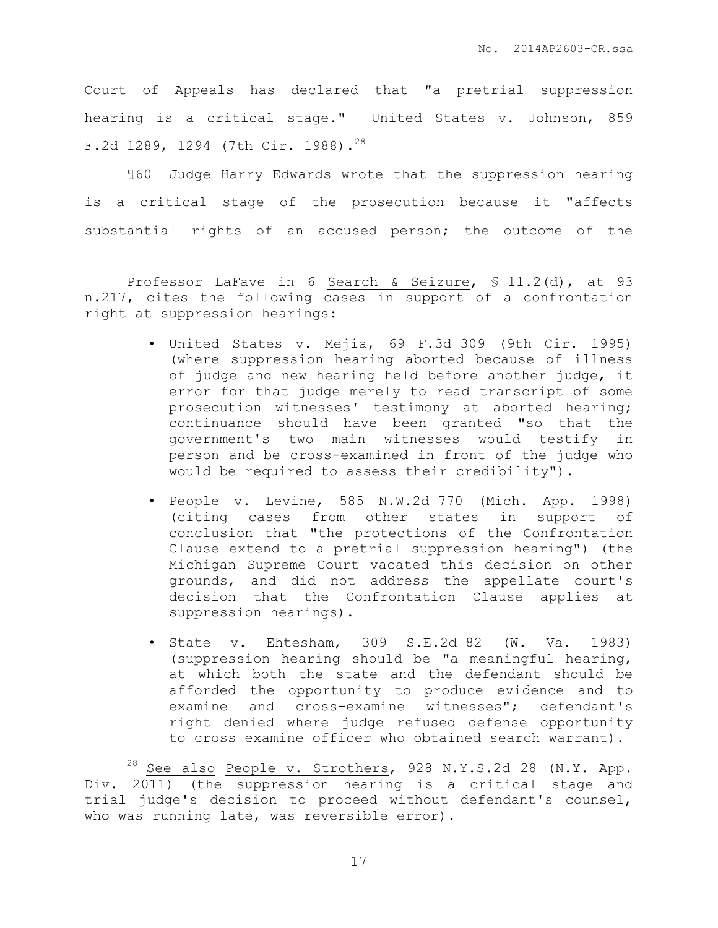Court of Appeals has declared that "a pretrial suppression hearing is a critical stage." United States v. Johnson, 859 F.2d 1289, 1294 (7th Cir. 1988).<sup>28</sup>

¶60 Judge Harry Edwards wrote that the suppression hearing is a critical stage of the prosecution because it "affects substantial rights of an accused person; the outcome of the

Professor LaFave in 6 Search & Seizure, § 11.2(d), at 93 n.217, cites the following cases in support of a confrontation right at suppression hearings:

 $\overline{a}$ 

- United States v. Mejia, 69 F.3d 309 (9th Cir. 1995) (where suppression hearing aborted because of illness of judge and new hearing held before another judge, it error for that judge merely to read transcript of some prosecution witnesses' testimony at aborted hearing; continuance should have been granted "so that the government's two main witnesses would testify in person and be cross-examined in front of the judge who would be required to assess their credibility").
- People v. Levine, 585 N.W.2d 770 (Mich. App. 1998) (citing cases from other states in support of conclusion that "the protections of the Confrontation Clause extend to a pretrial suppression hearing") (the Michigan Supreme Court vacated this decision on other grounds, and did not address the appellate court's decision that the Confrontation Clause applies at suppression hearings).
- State v. Ehtesham, 309 S.E.2d 82 (W. Va. 1983) (suppression hearing should be "a meaningful hearing, at which both the state and the defendant should be afforded the opportunity to produce evidence and to examine and cross-examine witnesses"; defendant's right denied where judge refused defense opportunity to cross examine officer who obtained search warrant).

 $^{28}$  See also People v. Strothers, 928 N.Y.S.2d 28 (N.Y. App. Div. 2011) (the suppression hearing is a critical stage and trial judge's decision to proceed without defendant's counsel, who was running late, was reversible error).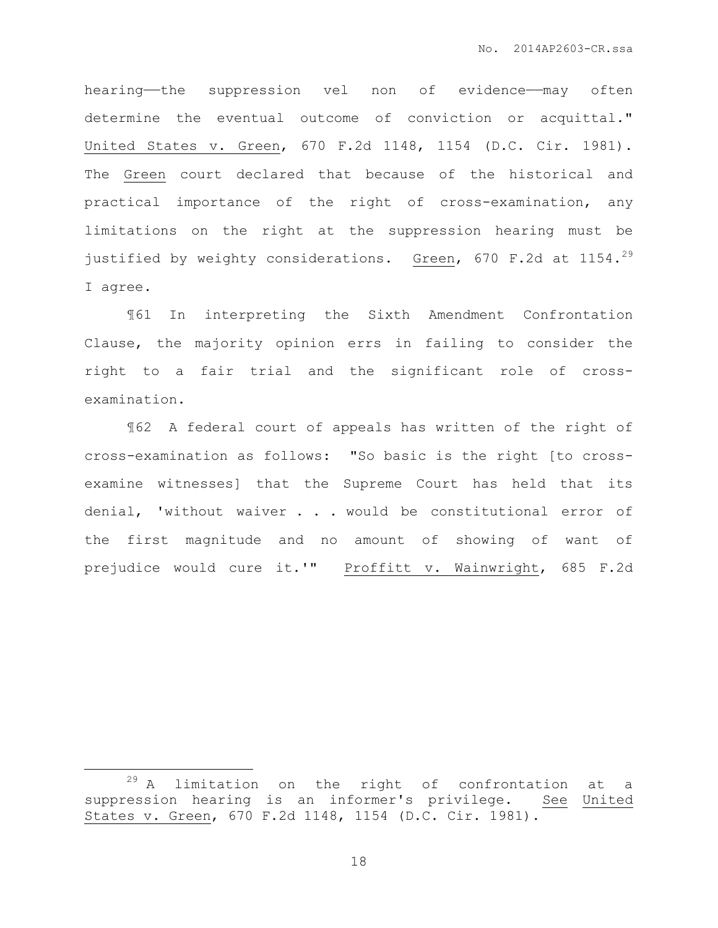hearing—the suppression vel non of evidence—may often determine the eventual outcome of conviction or acquittal." United States v. Green, 670 F.2d 1148, 1154 (D.C. Cir. 1981). The Green court declared that because of the historical and practical importance of the right of cross-examination, any limitations on the right at the suppression hearing must be justified by weighty considerations. Green, 670 F.2d at 1154.<sup>29</sup> I agree.

¶61 In interpreting the Sixth Amendment Confrontation Clause, the majority opinion errs in failing to consider the right to a fair trial and the significant role of crossexamination.

¶62 A federal court of appeals has written of the right of cross-examination as follows: "So basic is the right [to crossexamine witnesses] that the Supreme Court has held that its denial, 'without waiver . . . would be constitutional error of the first magnitude and no amount of showing of want of prejudice would cure it.'" Proffitt v. Wainwright, 685 F.2d

 $\overline{a}$ 

 $29$  A limitation on the right of confrontation at a suppression hearing is an informer's privilege. See United States v. Green, 670 F.2d 1148, 1154 (D.C. Cir. 1981).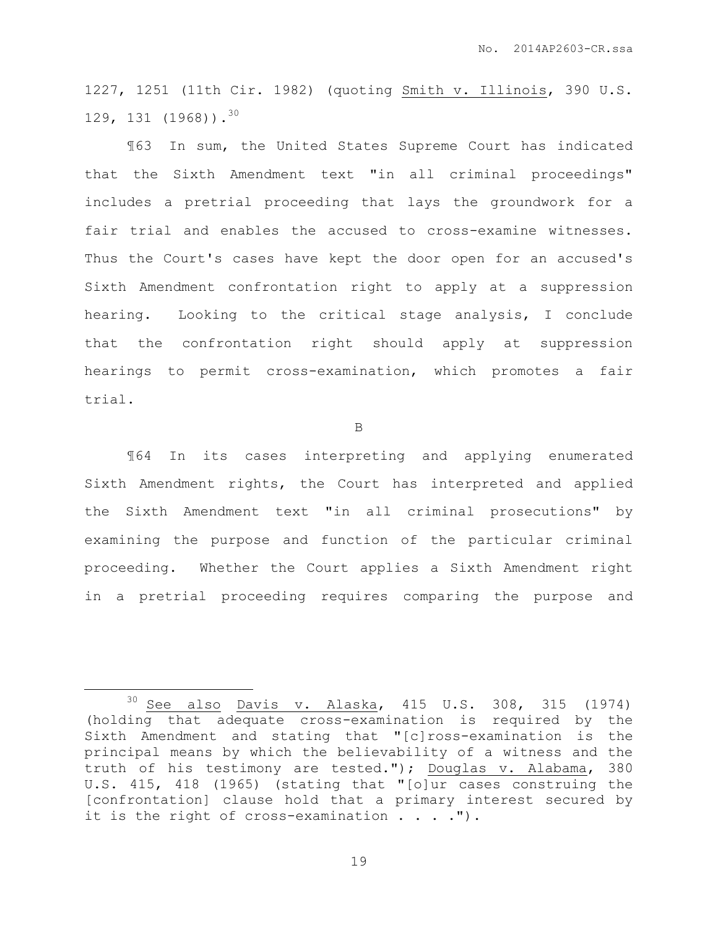1227, 1251 (11th Cir. 1982) (quoting Smith v. Illinois, 390 U.S. 129, 131  $(1968)$ ).<sup>30</sup>

¶63 In sum, the United States Supreme Court has indicated that the Sixth Amendment text "in all criminal proceedings" includes a pretrial proceeding that lays the groundwork for a fair trial and enables the accused to cross-examine witnesses. Thus the Court's cases have kept the door open for an accused's Sixth Amendment confrontation right to apply at a suppression hearing. Looking to the critical stage analysis, I conclude that the confrontation right should apply at suppression hearings to permit cross-examination, which promotes a fair trial.

B

¶64 In its cases interpreting and applying enumerated Sixth Amendment rights, the Court has interpreted and applied the Sixth Amendment text "in all criminal prosecutions" by examining the purpose and function of the particular criminal proceeding. Whether the Court applies a Sixth Amendment right in a pretrial proceeding requires comparing the purpose and

 $\overline{a}$ 

<sup>30</sup> See also Davis v. Alaska, 415 U.S. 308, 315 (1974) (holding that adequate cross-examination is required by the Sixth Amendment and stating that "[c]ross-examination is the principal means by which the believability of a witness and the truth of his testimony are tested."); Douglas v. Alabama, 380 U.S. 415, 418 (1965) (stating that "[o]ur cases construing the [confrontation] clause hold that a primary interest secured by it is the right of cross-examination  $\ldots$ .").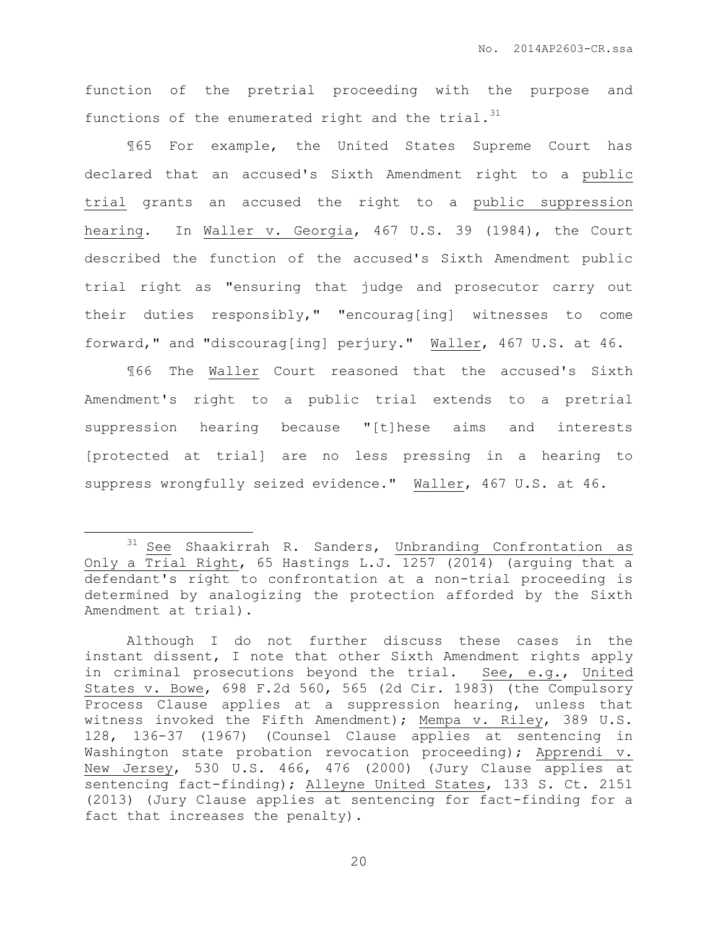function of the pretrial proceeding with the purpose and functions of the enumerated right and the trial. $^{31}$ 

¶65 For example, the United States Supreme Court has declared that an accused's Sixth Amendment right to a public trial grants an accused the right to a public suppression hearing. In Waller v. Georgia, 467 U.S. 39 (1984), the Court described the function of the accused's Sixth Amendment public trial right as "ensuring that judge and prosecutor carry out their duties responsibly," "encourag[ing] witnesses to come forward," and "discourag[ing] perjury." Waller, 467 U.S. at 46.

¶66 The Waller Court reasoned that the accused's Sixth Amendment's right to a public trial extends to a pretrial suppression hearing because "[t]hese aims and interests [protected at trial] are no less pressing in a hearing to suppress wrongfully seized evidence." Waller, 467 U.S. at 46.

 $\overline{a}$ 

<sup>&</sup>lt;sup>31</sup> See Shaakirrah R. Sanders, Unbranding Confrontation as Only a Trial Right, 65 Hastings L.J. 1257 (2014) (arguing that a defendant's right to confrontation at a non-trial proceeding is determined by analogizing the protection afforded by the Sixth Amendment at trial).

Although I do not further discuss these cases in the instant dissent, I note that other Sixth Amendment rights apply in criminal prosecutions beyond the trial. See, e.g., United States v. Bowe, 698 F.2d 560, 565 (2d Cir. 1983) (the Compulsory Process Clause applies at a suppression hearing, unless that witness invoked the Fifth Amendment); Mempa v. Riley, 389 U.S. 128, 136-37 (1967) (Counsel Clause applies at sentencing in Washington state probation revocation proceeding); Apprendi v. New Jersey, 530 U.S. 466, 476 (2000) (Jury Clause applies at sentencing fact-finding); Alleyne United States, 133 S. Ct. 2151 (2013) (Jury Clause applies at sentencing for fact-finding for a fact that increases the penalty).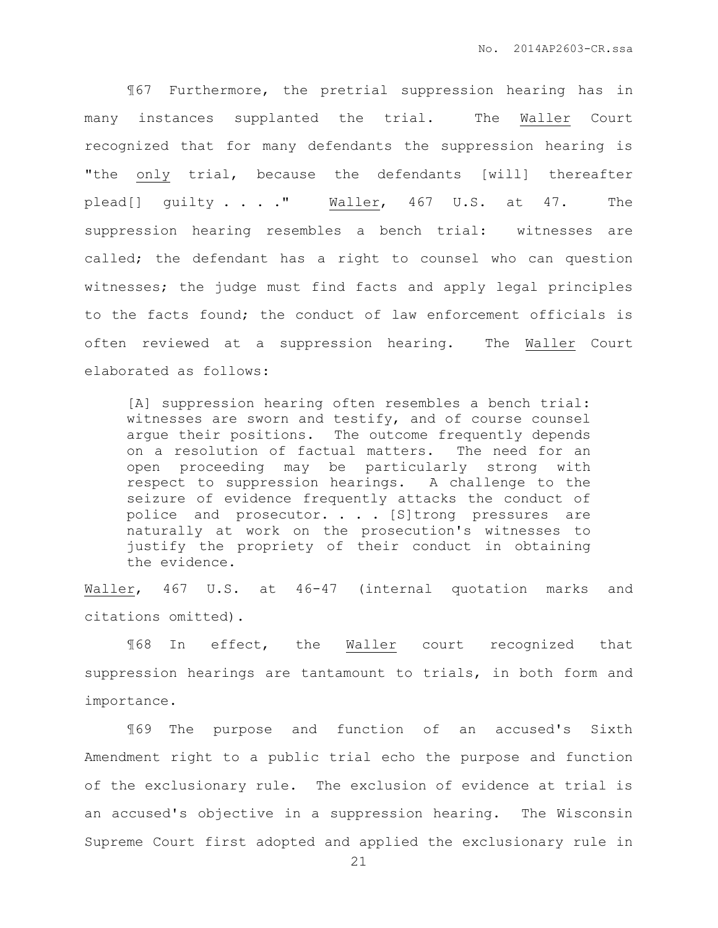¶67 Furthermore, the pretrial suppression hearing has in many instances supplanted the trial. The Waller Court recognized that for many defendants the suppression hearing is "the only trial, because the defendants [will] thereafter plead[] guilty . . . . " Waller, 467 U.S. at 47. The suppression hearing resembles a bench trial: witnesses are called; the defendant has a right to counsel who can question witnesses; the judge must find facts and apply legal principles to the facts found; the conduct of law enforcement officials is often reviewed at a suppression hearing. The Waller Court elaborated as follows:

[A] suppression hearing often resembles a bench trial: witnesses are sworn and testify, and of course counsel argue their positions. The outcome frequently depends on a resolution of factual matters. The need for an open proceeding may be particularly strong with respect to suppression hearings. A challenge to the seizure of evidence frequently attacks the conduct of police and prosecutor. . . [S]trong pressures are naturally at work on the prosecution's witnesses to justify the propriety of their conduct in obtaining the evidence.

Waller, 467 U.S. at 46-47 (internal quotation marks and citations omitted).

¶68 In effect, the Waller court recognized that suppression hearings are tantamount to trials, in both form and importance.

¶69 The purpose and function of an accused's Sixth Amendment right to a public trial echo the purpose and function of the exclusionary rule. The exclusion of evidence at trial is an accused's objective in a suppression hearing. The Wisconsin Supreme Court first adopted and applied the exclusionary rule in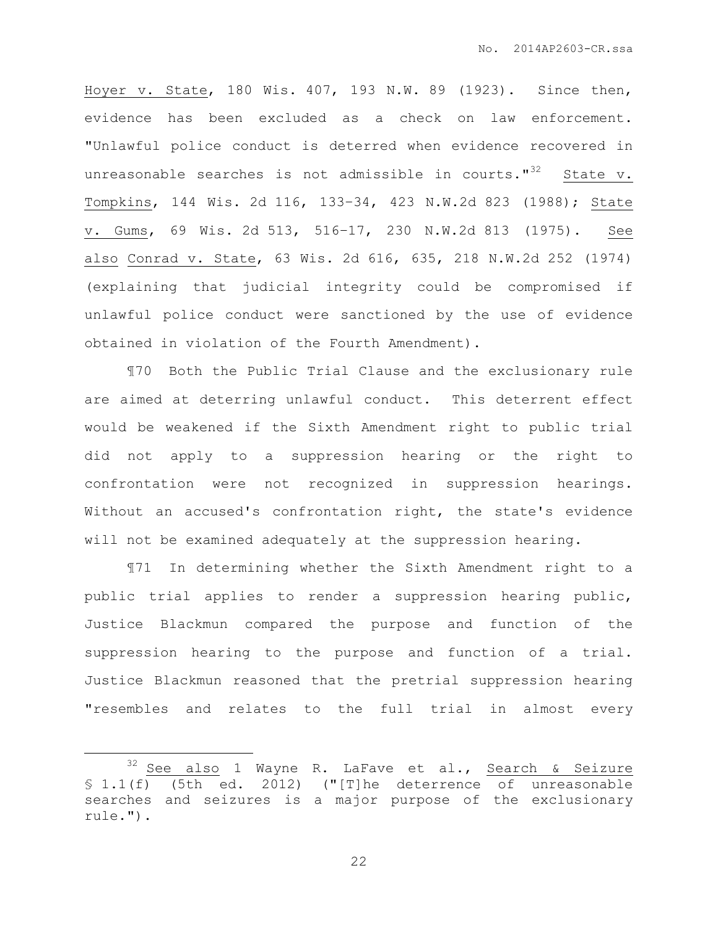Hoyer v. State, 180 Wis. 407, 193 N.W. 89 (1923). Since then, evidence has been excluded as a check on law enforcement. "Unlawful police conduct is deterred when evidence recovered in unreasonable searches is not admissible in courts."<sup>32</sup> State v. Tompkins, 144 Wis. 2d 116, 133–34, 423 N.W.2d 823 (1988); State v. Gums, 69 Wis. 2d 513, 516–17, 230 N.W.2d 813 (1975). See also Conrad v. State, 63 Wis. 2d 616, 635, 218 N.W.2d 252 (1974) (explaining that judicial integrity could be compromised if unlawful police conduct were sanctioned by the use of evidence obtained in violation of the Fourth Amendment).

¶70 Both the Public Trial Clause and the exclusionary rule are aimed at deterring unlawful conduct. This deterrent effect would be weakened if the Sixth Amendment right to public trial did not apply to a suppression hearing or the right to confrontation were not recognized in suppression hearings. Without an accused's confrontation right, the state's evidence will not be examined adequately at the suppression hearing.

¶71 In determining whether the Sixth Amendment right to a public trial applies to render a suppression hearing public, Justice Blackmun compared the purpose and function of the suppression hearing to the purpose and function of a trial. Justice Blackmun reasoned that the pretrial suppression hearing "resembles and relates to the full trial in almost every

 $\overline{a}$ 

<sup>&</sup>lt;sup>32</sup> See also 1 Wayne R. LaFave et al., Search & Seizure § 1.1(f) (5th ed. 2012) ("[T]he deterrence of unreasonable searches and seizures is a major purpose of the exclusionary rule.").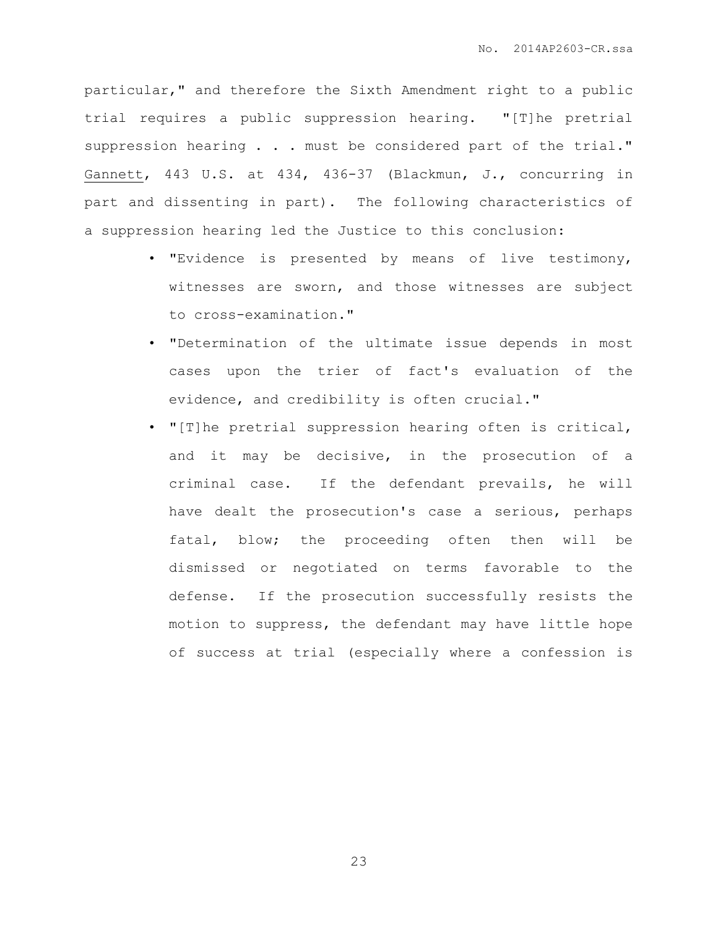particular," and therefore the Sixth Amendment right to a public trial requires a public suppression hearing. "[T]he pretrial suppression hearing . . . must be considered part of the trial." Gannett, 443 U.S. at 434, 436-37 (Blackmun, J., concurring in part and dissenting in part). The following characteristics of a suppression hearing led the Justice to this conclusion:

- "Evidence is presented by means of live testimony, witnesses are sworn, and those witnesses are subject to cross-examination."
- "Determination of the ultimate issue depends in most cases upon the trier of fact's evaluation of the evidence, and credibility is often crucial."
- "[T]he pretrial suppression hearing often is critical, and it may be decisive, in the prosecution of a criminal case. If the defendant prevails, he will have dealt the prosecution's case a serious, perhaps fatal, blow; the proceeding often then will be dismissed or negotiated on terms favorable to the defense. If the prosecution successfully resists the motion to suppress, the defendant may have little hope of success at trial (especially where a confession is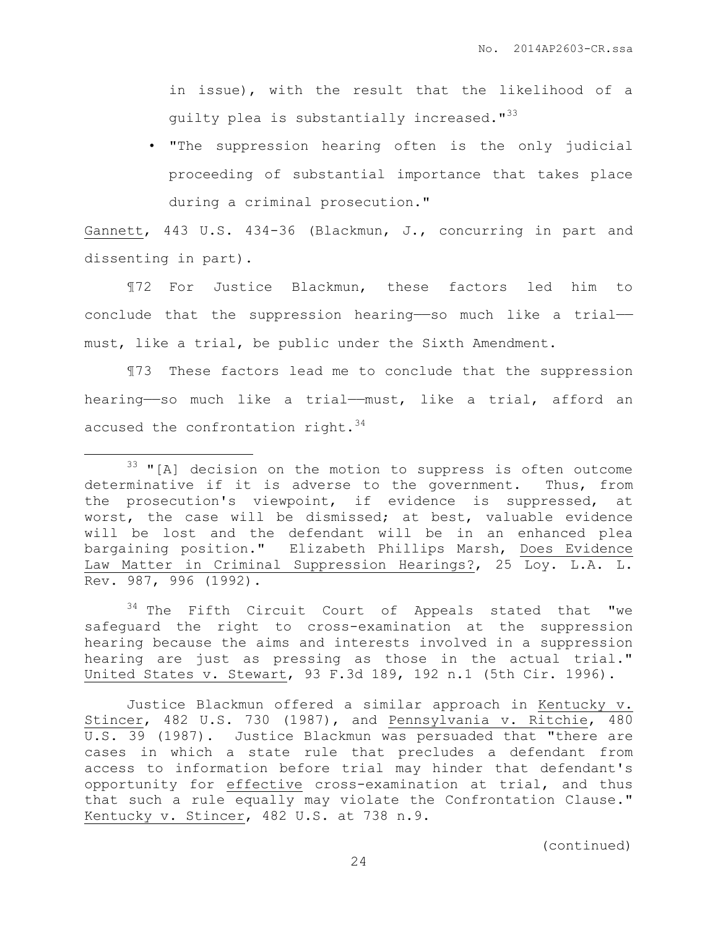in issue), with the result that the likelihood of a guilty plea is substantially increased."<sup>33</sup>

• "The suppression hearing often is the only judicial proceeding of substantial importance that takes place during a criminal prosecution."

Gannett, 443 U.S. 434-36 (Blackmun, J., concurring in part and dissenting in part).

¶72 For Justice Blackmun, these factors led him to conclude that the suppression hearing——so much like a trial— must, like a trial, be public under the Sixth Amendment.

¶73 These factors lead me to conclude that the suppression hearing——so much like a trial——must, like a trial, afford an accused the confrontation right.  $34$ 

 $\overline{a}$ 

<sup>34</sup> The Fifth Circuit Court of Appeals stated that "we safeguard the right to cross-examination at the suppression hearing because the aims and interests involved in a suppression hearing are just as pressing as those in the actual trial." United States v. Stewart, 93 F.3d 189, 192 n.1 (5th Cir. 1996).

Justice Blackmun offered a similar approach in Kentucky v. Stincer, 482 U.S. 730 (1987), and Pennsylvania v. Ritchie, 480 U.S. 39 (1987). Justice Blackmun was persuaded that "there are cases in which a state rule that precludes a defendant from access to information before trial may hinder that defendant's opportunity for effective cross-examination at trial, and thus that such a rule equally may violate the Confrontation Clause." Kentucky v. Stincer, 482 U.S. at 738 n.9.

<sup>&</sup>lt;sup>33</sup> "[A] decision on the motion to suppress is often outcome determinative if it is adverse to the government. Thus, from the prosecution's viewpoint, if evidence is suppressed, at worst, the case will be dismissed; at best, valuable evidence will be lost and the defendant will be in an enhanced plea bargaining position." Elizabeth Phillips Marsh, Does Evidence Law Matter in Criminal Suppression Hearings?, 25 Loy. L.A. L. Rev. 987, 996 (1992).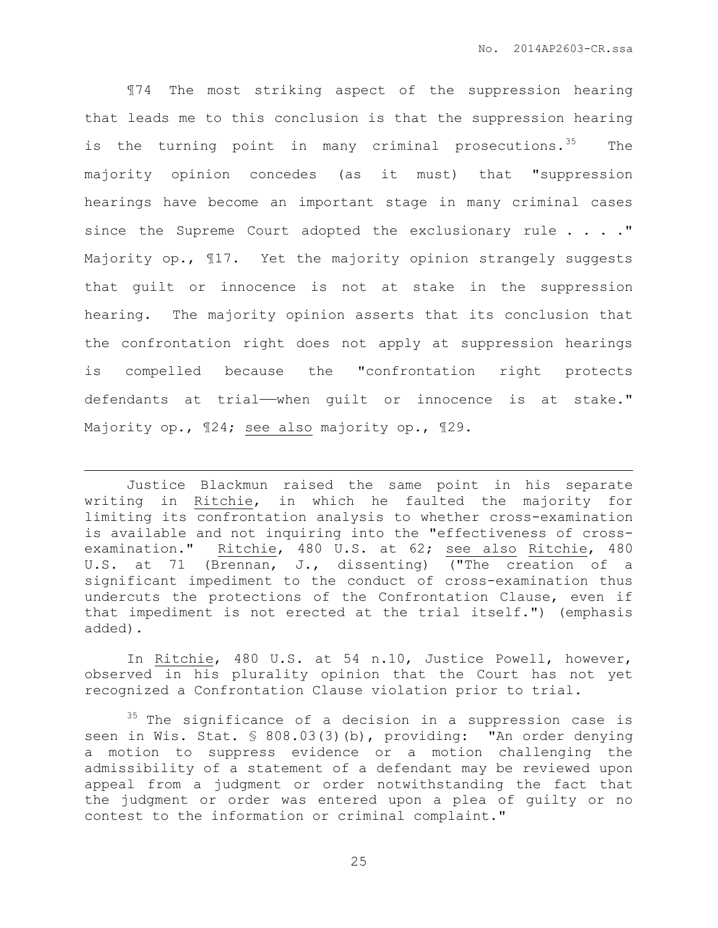¶74 The most striking aspect of the suppression hearing that leads me to this conclusion is that the suppression hearing is the turning point in many criminal prosecutions.<sup>35</sup> The majority opinion concedes (as it must) that "suppression hearings have become an important stage in many criminal cases since the Supreme Court adopted the exclusionary rule . . . . " Majority op.,  $\text{I17.}$  Yet the majority opinion strangely suggests that guilt or innocence is not at stake in the suppression hearing. The majority opinion asserts that its conclusion that the confrontation right does not apply at suppression hearings is compelled because the "confrontation right protects defendants at trial—when quilt or innocence is at stake." Majority op., ¶24; see also majority op., ¶29.

Justice Blackmun raised the same point in his separate writing in Ritchie, in which he faulted the majority for limiting its confrontation analysis to whether cross-examination is available and not inquiring into the "effectiveness of crossexamination." Ritchie, 480 U.S. at 62; see also Ritchie, 480 U.S. at 71 (Brennan, J., dissenting) ("The creation of a significant impediment to the conduct of cross-examination thus undercuts the protections of the Confrontation Clause, even if that impediment is not erected at the trial itself.") (emphasis added).

 $\overline{a}$ 

In Ritchie, 480 U.S. at 54 n.10, Justice Powell, however, observed in his plurality opinion that the Court has not yet recognized a Confrontation Clause violation prior to trial.

<sup>35</sup> The significance of a decision in a suppression case is seen in Wis. Stat. § 808.03(3)(b), providing: "An order denying a motion to suppress evidence or a motion challenging the admissibility of a statement of a defendant may be reviewed upon appeal from a judgment or order notwithstanding the fact that the judgment or order was entered upon a plea of guilty or no contest to the information or criminal complaint."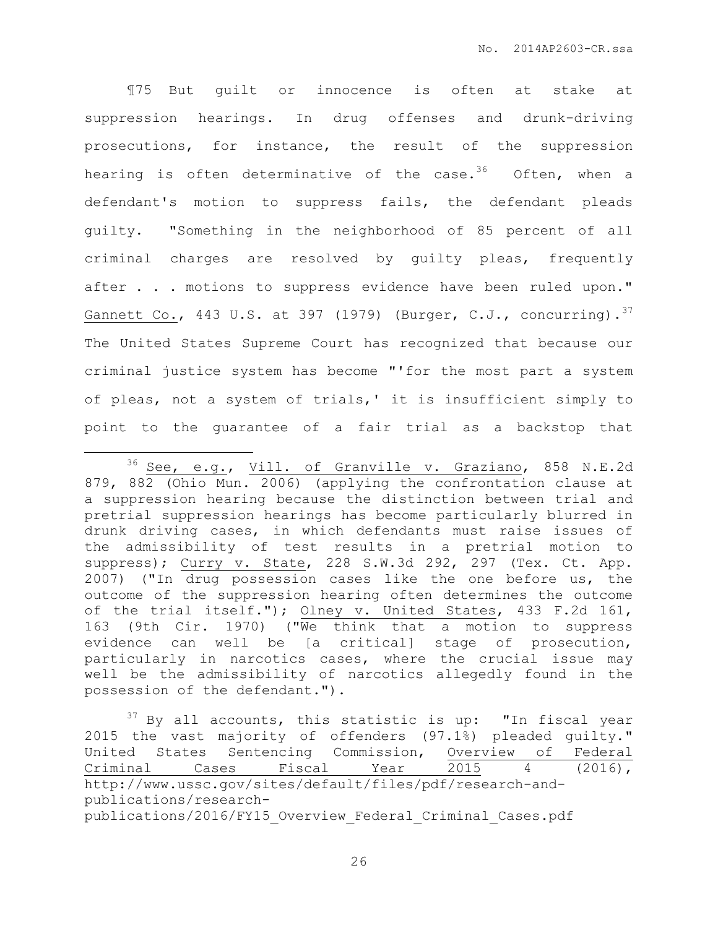¶75 But guilt or innocence is often at stake at suppression hearings. In drug offenses and drunk-driving prosecutions, for instance, the result of the suppression hearing is often determinative of the case.<sup>36</sup> Often, when a defendant's motion to suppress fails, the defendant pleads guilty. "Something in the neighborhood of 85 percent of all criminal charges are resolved by guilty pleas, frequently after . . . motions to suppress evidence have been ruled upon." Gannett Co., 443 U.S. at 397 (1979) (Burger, C.J., concurring).  $37$ The United States Supreme Court has recognized that because our criminal justice system has become "'for the most part a system of pleas, not a system of trials,' it is insufficient simply to point to the guarantee of a fair trial as a backstop that

 $\overline{a}$ 

 $37$  By all accounts, this statistic is up: "In fiscal year 2015 the vast majority of offenders (97.1%) pleaded guilty." United States Sentencing Commission, Overview of Federal Criminal Cases Fiscal Year 2015 4 (2016), http://www.ussc.gov/sites/default/files/pdf/research-andpublications/researchpublications/2016/FY15\_Overview\_Federal\_Criminal\_Cases.pdf

<sup>&</sup>lt;sup>36</sup> See, e.g., Vill. of Granville v. Graziano, 858 N.E.2d 879, 882 (Ohio Mun. 2006) (applying the confrontation clause at a suppression hearing because the distinction between trial and pretrial suppression hearings has become particularly blurred in drunk driving cases, in which defendants must raise issues of the admissibility of test results in a pretrial motion to suppress); Curry v. State, 228 S.W.3d 292, 297 (Tex. Ct. App. 2007) ("In drug possession cases like the one before us, the outcome of the suppression hearing often determines the outcome of the trial itself."); Olney v. United States, 433 F.2d 161, 163 (9th Cir. 1970) ("We think that a motion to suppress evidence can well be [a critical] stage of prosecution, particularly in narcotics cases, where the crucial issue may well be the admissibility of narcotics allegedly found in the possession of the defendant.").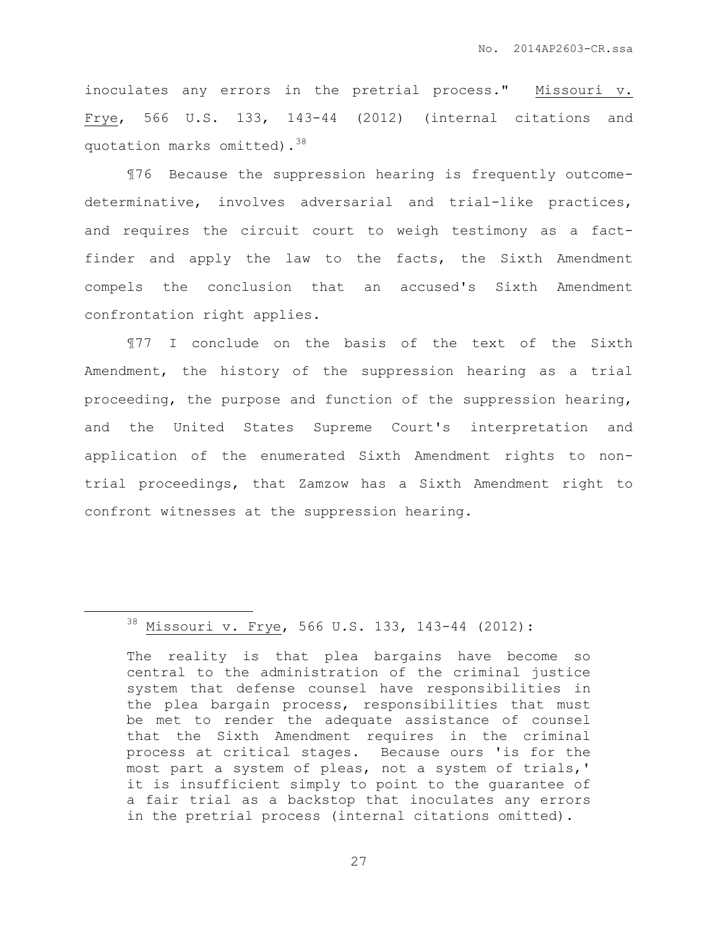inoculates any errors in the pretrial process." Missouri v. Frye, 566 U.S. 133, 143-44 (2012) (internal citations and quotation marks omitted).<sup>38</sup>

¶76 Because the suppression hearing is frequently outcomedeterminative, involves adversarial and trial-like practices, and requires the circuit court to weigh testimony as a factfinder and apply the law to the facts, the Sixth Amendment compels the conclusion that an accused's Sixth Amendment confrontation right applies.

¶77 I conclude on the basis of the text of the Sixth Amendment, the history of the suppression hearing as a trial proceeding, the purpose and function of the suppression hearing, and the United States Supreme Court's interpretation and application of the enumerated Sixth Amendment rights to nontrial proceedings, that Zamzow has a Sixth Amendment right to confront witnesses at the suppression hearing.

 $\overline{a}$ 

<sup>38</sup> Missouri v. Frye, 566 U.S. 133, 143-44 (2012):

The reality is that plea bargains have become so central to the administration of the criminal justice system that defense counsel have responsibilities in the plea bargain process, responsibilities that must be met to render the adequate assistance of counsel that the Sixth Amendment requires in the criminal process at critical stages. Because ours 'is for the most part a system of pleas, not a system of trials,' it is insufficient simply to point to the guarantee of a fair trial as a backstop that inoculates any errors in the pretrial process (internal citations omitted).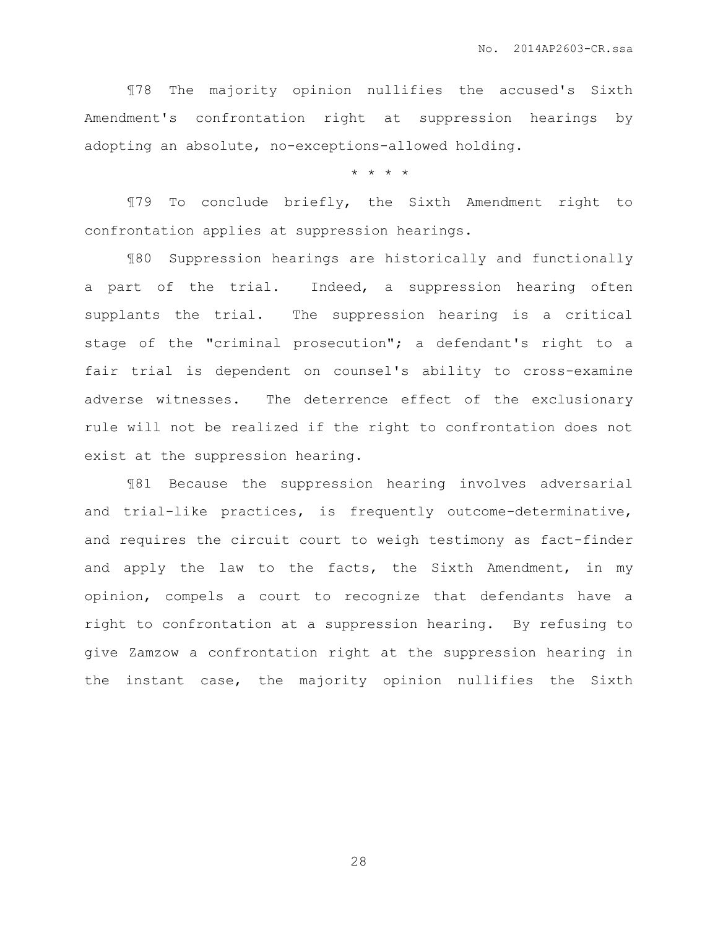¶78 The majority opinion nullifies the accused's Sixth Amendment's confrontation right at suppression hearings by adopting an absolute, no-exceptions-allowed holding.

\* \* \* \*

¶79 To conclude briefly, the Sixth Amendment right to confrontation applies at suppression hearings.

¶80 Suppression hearings are historically and functionally a part of the trial. Indeed, a suppression hearing often supplants the trial. The suppression hearing is a critical stage of the "criminal prosecution"; a defendant's right to a fair trial is dependent on counsel's ability to cross-examine adverse witnesses. The deterrence effect of the exclusionary rule will not be realized if the right to confrontation does not exist at the suppression hearing.

¶81 Because the suppression hearing involves adversarial and trial-like practices, is frequently outcome-determinative, and requires the circuit court to weigh testimony as fact-finder and apply the law to the facts, the Sixth Amendment, in my opinion, compels a court to recognize that defendants have a right to confrontation at a suppression hearing. By refusing to give Zamzow a confrontation right at the suppression hearing in the instant case, the majority opinion nullifies the Sixth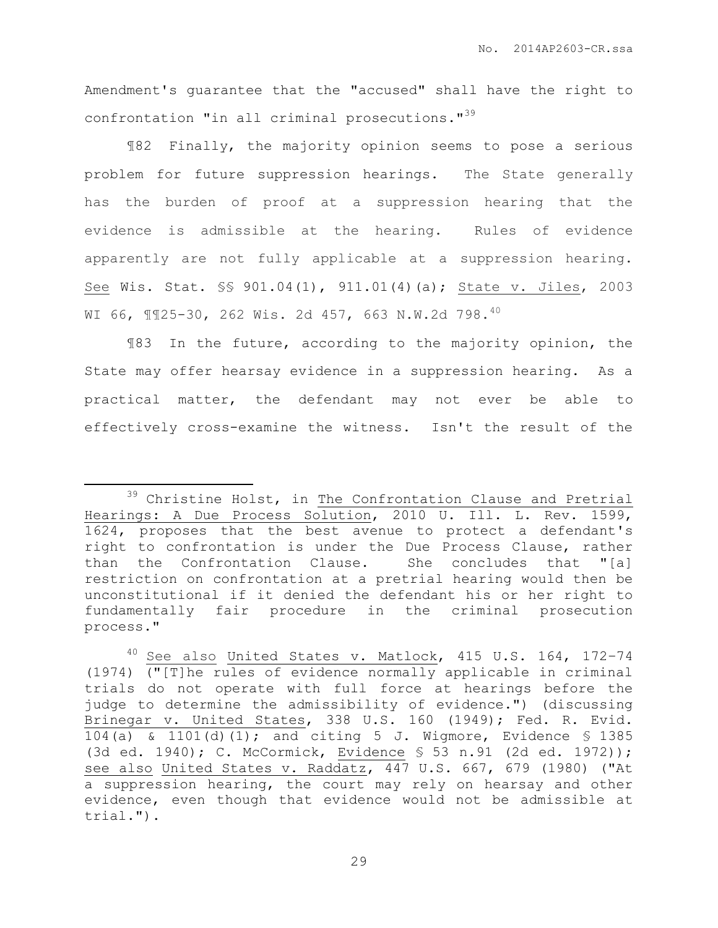Amendment's guarantee that the "accused" shall have the right to confrontation "in all criminal prosecutions."<sup>39</sup>

¶82 Finally, the majority opinion seems to pose a serious problem for future suppression hearings. The State generally has the burden of proof at a suppression hearing that the evidence is admissible at the hearing. Rules of evidence apparently are not fully applicable at a suppression hearing. See Wis. Stat. §§ 901.04(1), 911.01(4)(a); State v. Jiles, 2003 WI 66, ¶¶25-30, 262 Wis. 2d 457, 663 N.W.2d 798.<sup>40</sup>

¶83 In the future, according to the majority opinion, the State may offer hearsay evidence in a suppression hearing. As a practical matter, the defendant may not ever be able to effectively cross-examine the witness. Isn't the result of the

 $\overline{a}$ 

<sup>&</sup>lt;sup>39</sup> Christine Holst, in The Confrontation Clause and Pretrial Hearings: A Due Process Solution, 2010 U. Ill. L. Rev. 1599, 1624, proposes that the best avenue to protect a defendant's right to confrontation is under the Due Process Clause, rather than the Confrontation Clause. She concludes that "[a] restriction on confrontation at a pretrial hearing would then be unconstitutional if it denied the defendant his or her right to fundamentally fair procedure in the criminal prosecution process."

<sup>40</sup> See also United States v. Matlock, 415 U.S. 164, 172–74 (1974) ("[T]he rules of evidence normally applicable in criminal trials do not operate with full force at hearings before the judge to determine the admissibility of evidence.") (discussing [Brinegar v. United States,](https://1.next.westlaw.com/Link/Document/FullText?findType=Y&serNum=1949116197&pubNum=708&originatingDoc=Ib58b624aff6911d98ac8f235252e36df&refType=RP&originationContext=document&transitionType=DocumentItem&contextData=(sc.UserEnteredCitation)) 338 U.S. 160 (1949); Fed. R. [Evid.](https://1.next.westlaw.com/Link/Document/FullText?findType=L&pubNum=1004365&cite=USFRER104&originatingDoc=Ib58b624aff6911d98ac8f235252e36df&refType=LQ&originationContext=document&transitionType=DocumentItem&contextData=(sc.UserEnteredCitation))  [104\(a\)](https://1.next.westlaw.com/Link/Document/FullText?findType=L&pubNum=1004365&cite=USFRER104&originatingDoc=Ib58b624aff6911d98ac8f235252e36df&refType=LQ&originationContext=document&transitionType=DocumentItem&contextData=(sc.UserEnteredCitation)) & [1101\(d\)\(1\);](https://1.next.westlaw.com/Link/Document/FullText?findType=L&pubNum=1004365&cite=USFRER1101&originatingDoc=Ib58b624aff6911d98ac8f235252e36df&refType=LQ&originationContext=document&transitionType=DocumentItem&contextData=(sc.UserEnteredCitation)) and citing 5 J. Wigmore, Evidence § 1385 (3d ed. 1940); [C. McCormick, Evidence](https://1.next.westlaw.com/Link/Document/FullText?findType=Y&serNum=0280312313&pubNum=0134642&originatingDoc=Ib58b624aff6911d98ac8f235252e36df&refType=TS&originationContext=document&transitionType=DocumentItem&contextData=(sc.UserEnteredCitation)) § 53 n.91 (2d ed. 1972)); see also [United States v. Raddatz,](https://1.next.westlaw.com/Link/Document/FullText?findType=Y&serNum=1980116789&pubNum=708&originatingDoc=Ib58b624aff6911d98ac8f235252e36df&refType=RP&originationContext=document&transitionType=DocumentItem&contextData=(sc.UserEnteredCitation)) 447 U.S. 667, 679 (1980) ("At a suppression hearing, the court may rely on hearsay and other evidence, even though that evidence would not be admissible at trial.").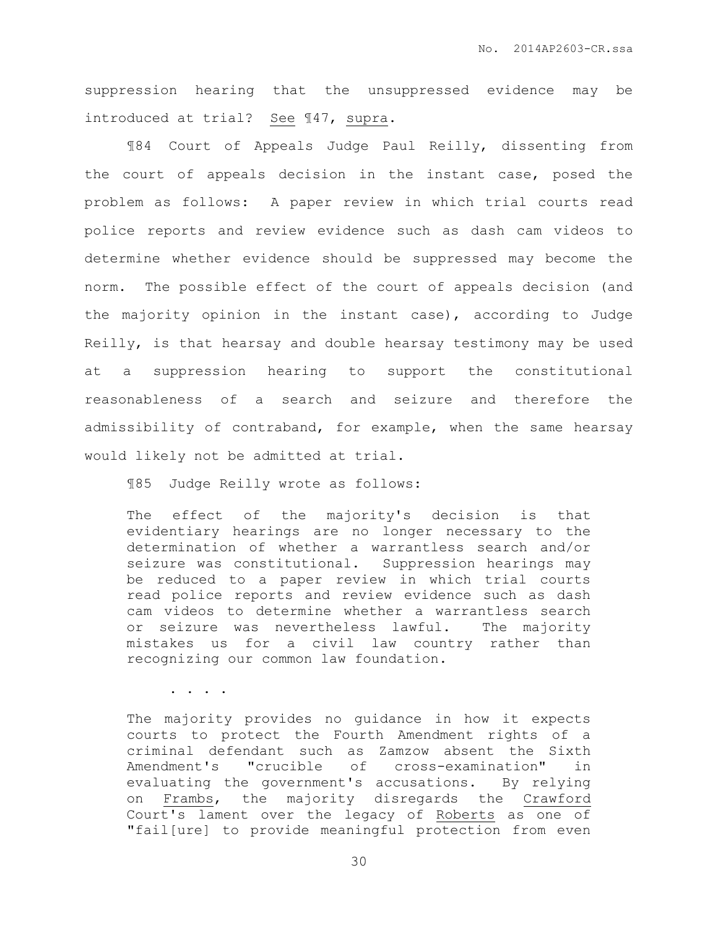suppression hearing that the unsuppressed evidence may be introduced at trial? See ¶47, supra.

¶84 Court of Appeals Judge Paul Reilly, dissenting from the court of appeals decision in the instant case, posed the problem as follows: A paper review in which trial courts read police reports and review evidence such as dash cam videos to determine whether evidence should be suppressed may become the norm. The possible effect of the court of appeals decision (and the majority opinion in the instant case), according to Judge Reilly, is that hearsay and double hearsay testimony may be used at a suppression hearing to support the constitutional reasonableness of a search and seizure and therefore the admissibility of contraband, for example, when the same hearsay would likely not be admitted at trial.

¶85 Judge Reilly wrote as follows:

The effect of the majority's decision is that evidentiary hearings are no longer necessary to the determination of whether a warrantless search and/or seizure was constitutional. Suppression hearings may be reduced to a paper review in which trial courts read police reports and review evidence such as dash cam videos to determine whether a warrantless search or seizure was nevertheless lawful. The majority mistakes us for a civil law country rather than recognizing our common law foundation.

. . . .

The majority provides no guidance in how it expects courts to protect the Fourth Amendment rights of a criminal defendant such as Zamzow absent the Sixth Amendment's "crucible of cross-examination" in evaluating the government's accusations. By relying on Frambs, the majority disregards the Crawford Court's lament over the legacy of Roberts as one of "fail[ure] to provide meaningful protection from even